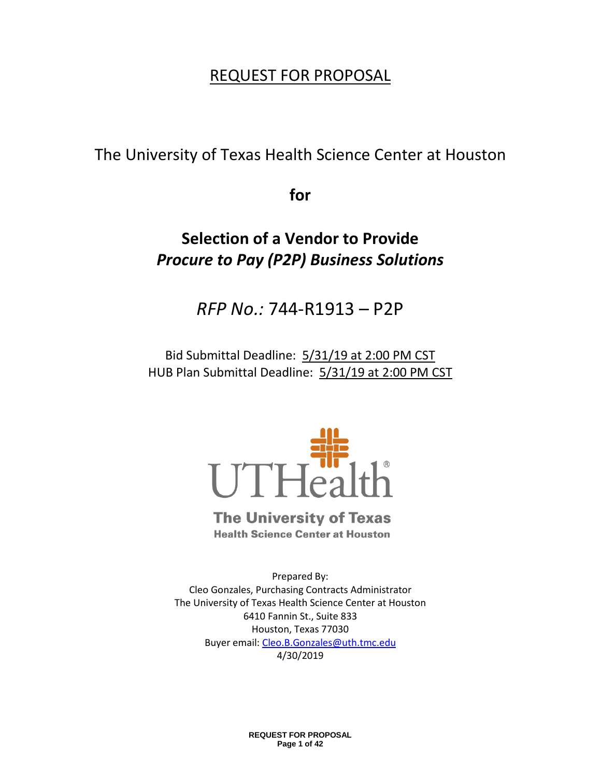# REQUEST FOR PROPOSAL

The University of Texas Health Science Center at Houston

**for**

# **Selection of a Vendor to Provide**  *Procure to Pay (P2P) Business Solutions*

*RFP No.:* 744-R1913 – P2P

Bid Submittal Deadline: 5/31/19 at 2:00 PM CST HUB Plan Submittal Deadline: 5/31/19 at 2:00 PM CST



# **The University of Texas**

**Health Science Center at Houston** 

Prepared By: Cleo Gonzales, Purchasing Contracts Administrator The University of Texas Health Science Center at Houston 6410 Fannin St., Suite 833 Houston, Texas 77030 Buyer email: [Cleo.B.Gonzales@uth.tmc.edu](mailto:Cleo.B.Gonzales@uth.tmc.edu) 4/30/2019

> **REQUEST FOR PROPOSAL Page 1 of 42**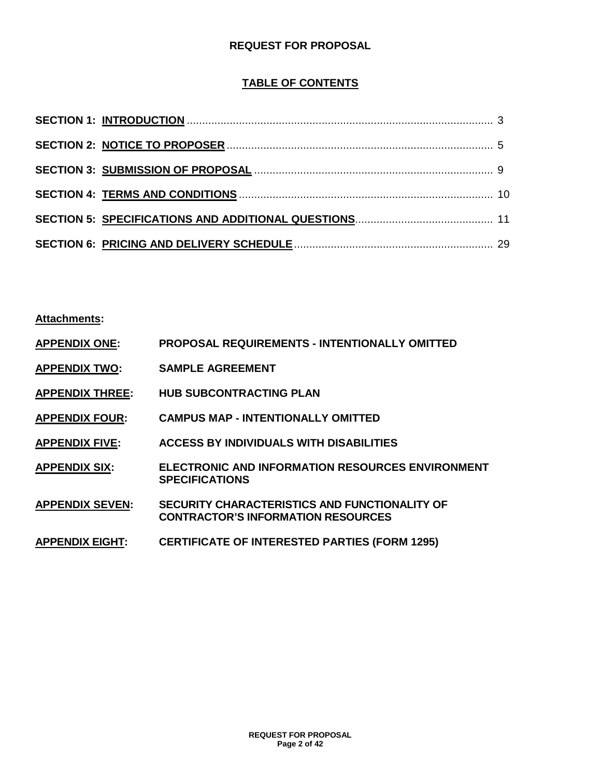## **REQUEST FOR PROPOSAL**

## **TABLE OF CONTENTS**

**Attachments:**

| <b>APPENDIX ONE:</b>   | <b>PROPOSAL REQUIREMENTS - INTENTIONALLY OMITTED</b>                                       |
|------------------------|--------------------------------------------------------------------------------------------|
| <b>APPENDIX TWO:</b>   | <b>SAMPLE AGREEMENT</b>                                                                    |
| <b>APPENDIX THREE:</b> | <b>HUB SUBCONTRACTING PLAN</b>                                                             |
| <b>APPENDIX FOUR:</b>  | <b>CAMPUS MAP - INTENTIONALLY OMITTED</b>                                                  |
| <b>APPENDIX FIVE:</b>  | <b>ACCESS BY INDIVIDUALS WITH DISABILITIES</b>                                             |
| <b>APPENDIX SIX:</b>   | <b>ELECTRONIC AND INFORMATION RESOURCES ENVIRONMENT</b><br><b>SPECIFICATIONS</b>           |
| <b>APPENDIX SEVEN:</b> | SECURITY CHARACTERISTICS AND FUNCTIONALITY OF<br><b>CONTRACTOR'S INFORMATION RESOURCES</b> |
| <b>APPENDIX EIGHT:</b> | <b>CERTIFICATE OF INTERESTED PARTIES (FORM 1295)</b>                                       |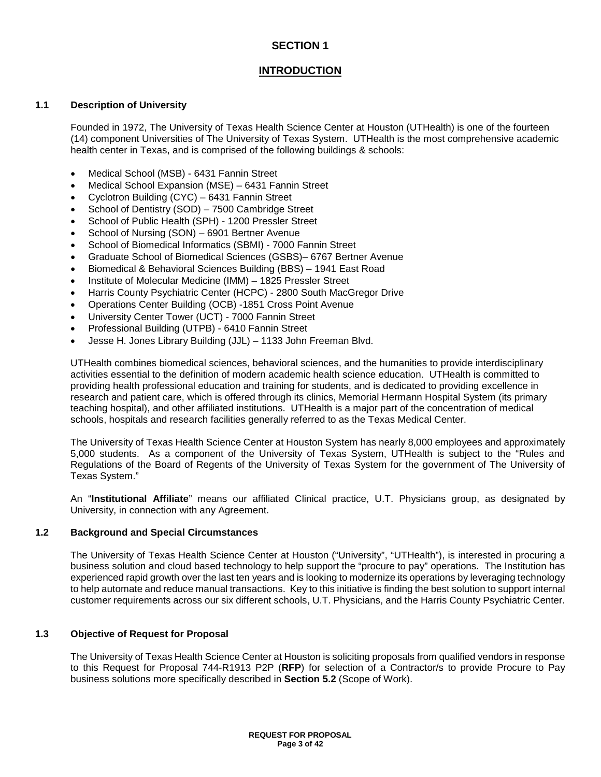## **INTRODUCTION**

#### **1.1 Description of University**

Founded in 1972, The University of Texas Health Science Center at Houston (UTHealth) is one of the fourteen (14) component Universities of The University of Texas System. UTHealth is the most comprehensive academic health center in Texas, and is comprised of the following buildings & schools:

- Medical School (MSB) 6431 Fannin Street
- Medical School Expansion (MSE) 6431 Fannin Street
- Cyclotron Building (CYC) 6431 Fannin Street
- School of Dentistry (SOD) 7500 Cambridge Street
- School of Public Health (SPH) 1200 Pressler Street
- School of Nursing (SON) 6901 Bertner Avenue
- School of Biomedical Informatics (SBMI) 7000 Fannin Street
- Graduate School of Biomedical Sciences (GSBS)– 6767 Bertner Avenue
- Biomedical & Behavioral Sciences Building (BBS) 1941 East Road
- Institute of Molecular Medicine (IMM) 1825 Pressler Street
- Harris County Psychiatric Center (HCPC) 2800 South MacGregor Drive
- Operations Center Building (OCB) -1851 Cross Point Avenue
- University Center Tower (UCT) 7000 Fannin Street
- Professional Building (UTPB) 6410 Fannin Street
- Jesse H. Jones Library Building (JJL) 1133 John Freeman Blvd.

UTHealth combines biomedical sciences, behavioral sciences, and the humanities to provide interdisciplinary activities essential to the definition of modern academic health science education. UTHealth is committed to providing health professional education and training for students, and is dedicated to providing excellence in research and patient care, which is offered through its clinics, Memorial Hermann Hospital System (its primary teaching hospital), and other affiliated institutions. UTHealth is a major part of the concentration of medical schools, hospitals and research facilities generally referred to as the Texas Medical Center.

The University of Texas Health Science Center at Houston System has nearly 8,000 employees and approximately 5,000 students. As a component of the University of Texas System, UTHealth is subject to the "Rules and Regulations of the Board of Regents of the University of Texas System for the government of The University of Texas System."

An "**Institutional Affiliate**" means our affiliated Clinical practice, U.T. Physicians group, as designated by University, in connection with any Agreement.

#### **1.2 Background and Special Circumstances**

The University of Texas Health Science Center at Houston ("University", "UTHealth"), is interested in procuring a business solution and cloud based technology to help support the "procure to pay" operations. The Institution has experienced rapid growth over the last ten years and is looking to modernize its operations by leveraging technology to help automate and reduce manual transactions. Key to this initiative is finding the best solution to support internal customer requirements across our six different schools, U.T. Physicians, and the Harris County Psychiatric Center.

#### **1.3 Objective of Request for Proposal**

The University of Texas Health Science Center at Houston is soliciting proposals from qualified vendors in response to this Request for Proposal 744-R1913 P2P (**RFP**) for selection of a Contractor/s to provide Procure to Pay business solutions more specifically described in **Section 5.2** (Scope of Work).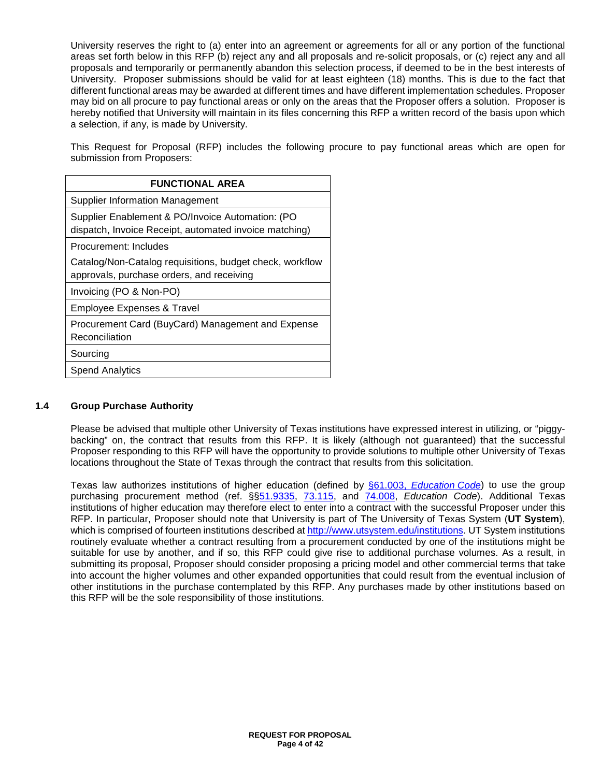University reserves the right to (a) enter into an agreement or agreements for all or any portion of the functional areas set forth below in this RFP (b) reject any and all proposals and re-solicit proposals, or (c) reject any and all proposals and temporarily or permanently abandon this selection process, if deemed to be in the best interests of University. Proposer submissions should be valid for at least eighteen (18) months. This is due to the fact that different functional areas may be awarded at different times and have different implementation schedules. Proposer may bid on all procure to pay functional areas or only on the areas that the Proposer offers a solution. Proposer is hereby notified that University will maintain in its files concerning this RFP a written record of the basis upon which a selection, if any, is made by University.

This Request for Proposal (RFP) includes the following procure to pay functional areas which are open for submission from Proposers:

| <b>FUNCTIONAL AREA</b>                                                                                     |
|------------------------------------------------------------------------------------------------------------|
| <b>Supplier Information Management</b>                                                                     |
| Supplier Enablement & PO/Invoice Automation: (PO<br>dispatch, Invoice Receipt, automated invoice matching) |
| Procurement: Includes                                                                                      |
| Catalog/Non-Catalog requisitions, budget check, workflow<br>approvals, purchase orders, and receiving      |
| Invoicing (PO & Non-PO)                                                                                    |
| <b>Employee Expenses &amp; Travel</b>                                                                      |
| Procurement Card (BuyCard) Management and Expense<br>Reconciliation                                        |
| Sourcing                                                                                                   |
| <b>Spend Analytics</b>                                                                                     |
|                                                                                                            |

## **1.4 Group Purchase Authority**

Please be advised that multiple other University of Texas institutions have expressed interest in utilizing, or "piggybacking" on, the contract that results from this RFP. It is likely (although not guaranteed) that the successful Proposer responding to this RFP will have the opportunity to provide solutions to multiple other University of Texas locations throughout the State of Texas through the contract that results from this solicitation.

Texas law authorizes institutions of higher education (defined by [§61.003,](http://www.statutes.legis.state.tx.us/Docs/ED/htm/ED.61.htm#61.003) *Education Code*) to use the group purchasing procurement method (ref. §[§51.9335,](http://www.statutes.legis.state.tx.us/Docs/ED/htm/ED.51.htm#51.9335) [73.115,](http://www.statutes.legis.state.tx.us/Docs/ED/htm/ED.73.htm#73.115) and [74.008,](http://www.statutes.legis.state.tx.us/Docs/ED/htm/ED.74.htm#74.008) *Education Code*). Additional Texas institutions of higher education may therefore elect to enter into a contract with the successful Proposer under this RFP. In particular, Proposer should note that University is part of The University of Texas System (**UT System**), which is comprised of fourteen institutions described at [http://www.utsystem.edu/institutions.](http://www.utsystem.edu/institutions) UT System institutions routinely evaluate whether a contract resulting from a procurement conducted by one of the institutions might be suitable for use by another, and if so, this RFP could give rise to additional purchase volumes. As a result, in submitting its proposal, Proposer should consider proposing a pricing model and other commercial terms that take into account the higher volumes and other expanded opportunities that could result from the eventual inclusion of other institutions in the purchase contemplated by this RFP. Any purchases made by other institutions based on this RFP will be the sole responsibility of those institutions.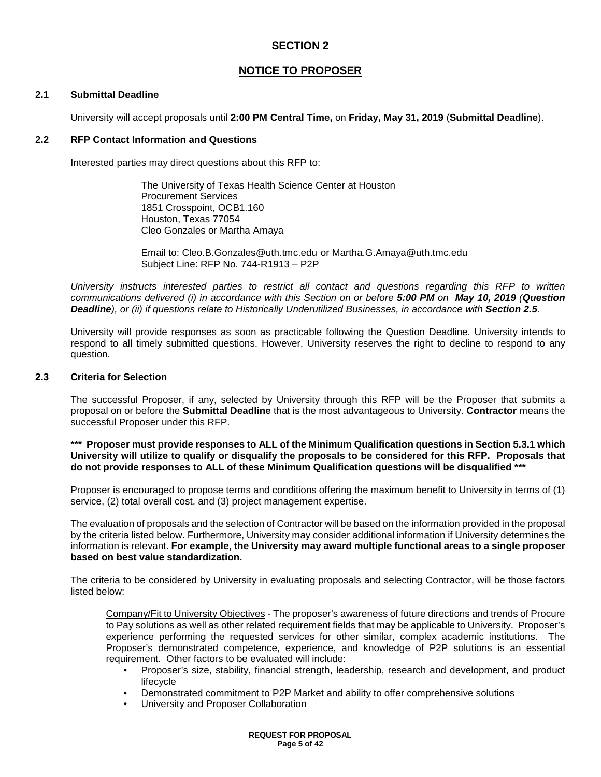## **NOTICE TO PROPOSER**

#### **2.1 Submittal Deadline**

University will accept proposals until **2:00 PM Central Time,** on **Friday, May 31, 2019** (**Submittal Deadline**).

#### **2.2 RFP Contact Information and Questions**

Interested parties may direct questions about this RFP to:

The University of Texas Health Science Center at Houston Procurement Services 1851 Crosspoint, OCB1.160 Houston, Texas 77054 Cleo Gonzales or Martha Amaya

Email to: Cleo.B.Gonzales@uth.tmc.edu or Martha.G.Amaya@uth.tmc.edu Subject Line: RFP No. 744-R1913 – P2P

*University instructs interested parties to restrict all contact and questions regarding this RFP to written communications delivered (i) in accordance with this Section on or before 5:00 PM on May 10, 2019 (Question*  **Deadline**), or (ii) if questions relate to Historically Underutilized Businesses, in accordance with **Section 2.5***.* 

University will provide responses as soon as practicable following the Question Deadline. University intends to respond to all timely submitted questions. However, University reserves the right to decline to respond to any question.

#### **2.3 Criteria for Selection**

The successful Proposer, if any, selected by University through this RFP will be the Proposer that submits a proposal on or before the **Submittal Deadline** that is the most advantageous to University. **Contractor** means the successful Proposer under this RFP.

#### **\*\*\* Proposer must provide responses to ALL of the Minimum Qualification questions in Section 5.3.1 which University will utilize to qualify or disqualify the proposals to be considered for this RFP. Proposals that do not provide responses to ALL of these Minimum Qualification questions will be disqualified \*\*\***

Proposer is encouraged to propose terms and conditions offering the maximum benefit to University in terms of (1) service, (2) total overall cost, and (3) project management expertise.

The evaluation of proposals and the selection of Contractor will be based on the information provided in the proposal by the criteria listed below. Furthermore, University may consider additional information if University determines the information is relevant. **For example, the University may award multiple functional areas to a single proposer based on best value standardization.**

The criteria to be considered by University in evaluating proposals and selecting Contractor, will be those factors listed below:

Company/Fit to University Objectives - The proposer's awareness of future directions and trends of Procure to Pay solutions as well as other related requirement fields that may be applicable to University. Proposer's experience performing the requested services for other similar, complex academic institutions. The Proposer's demonstrated competence, experience, and knowledge of P2P solutions is an essential requirement. Other factors to be evaluated will include:

- Proposer's size, stability, financial strength, leadership, research and development, and product lifecycle
- Demonstrated commitment to P2P Market and ability to offer comprehensive solutions
- University and Proposer Collaboration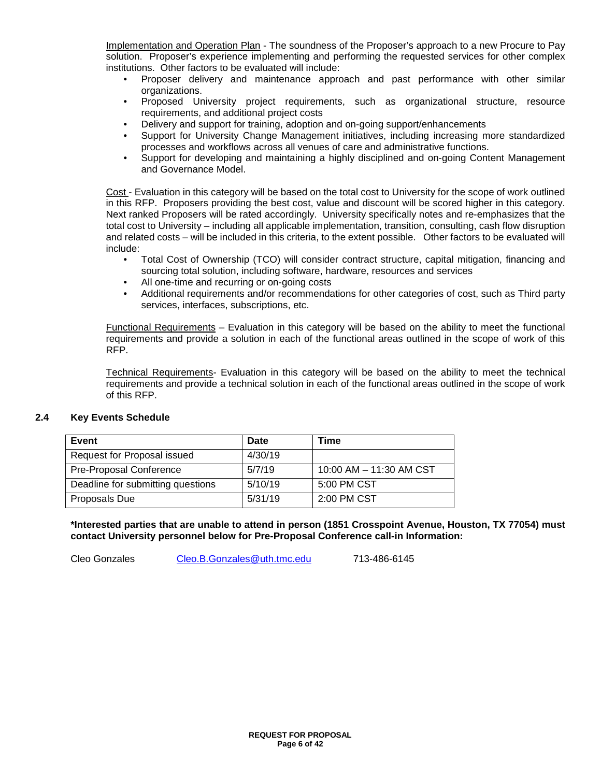Implementation and Operation Plan - The soundness of the Proposer's approach to a new Procure to Pay solution. Proposer's experience implementing and performing the requested services for other complex institutions. Other factors to be evaluated will include:

- Proposer delivery and maintenance approach and past performance with other similar organizations.
- Proposed University project requirements, such as organizational structure, resource requirements, and additional project costs
- Delivery and support for training, adoption and on-going support/enhancements
- Support for University Change Management initiatives, including increasing more standardized processes and workflows across all venues of care and administrative functions.
- Support for developing and maintaining a highly disciplined and on-going Content Management and Governance Model.

Cost - Evaluation in this category will be based on the total cost to University for the scope of work outlined in this RFP. Proposers providing the best cost, value and discount will be scored higher in this category. Next ranked Proposers will be rated accordingly. University specifically notes and re-emphasizes that the total cost to University – including all applicable implementation, transition, consulting, cash flow disruption and related costs – will be included in this criteria, to the extent possible. Other factors to be evaluated will include:

- Total Cost of Ownership (TCO) will consider contract structure, capital mitigation, financing and sourcing total solution, including software, hardware, resources and services
- All one-time and recurring or on-going costs
- Additional requirements and/or recommendations for other categories of cost, such as Third party services, interfaces, subscriptions, etc.

Functional Requirements – Evaluation in this category will be based on the ability to meet the functional requirements and provide a solution in each of the functional areas outlined in the scope of work of this RFP.

Technical Requirements- Evaluation in this category will be based on the ability to meet the technical requirements and provide a technical solution in each of the functional areas outlined in the scope of work of this RFP.

#### **2.4 Key Events Schedule**

| Event                             | Date    | Time                    |
|-----------------------------------|---------|-------------------------|
| Request for Proposal issued       | 4/30/19 |                         |
| Pre-Proposal Conference           | 5/7/19  | 10:00 AM - 11:30 AM CST |
| Deadline for submitting questions | 5/10/19 | 5:00 PM CST             |
| Proposals Due                     | 5/31/19 | 2:00 PM CST             |

**\*Interested parties that are unable to attend in person (1851 Crosspoint Avenue, Houston, TX 77054) must contact University personnel below for Pre-Proposal Conference call-in Information:**

Cleo Gonzales [Cleo.B.Gonzales@uth.tmc.edu](mailto:Cleo.B.Gonzales@uth.tmc.edu) 713-486-6145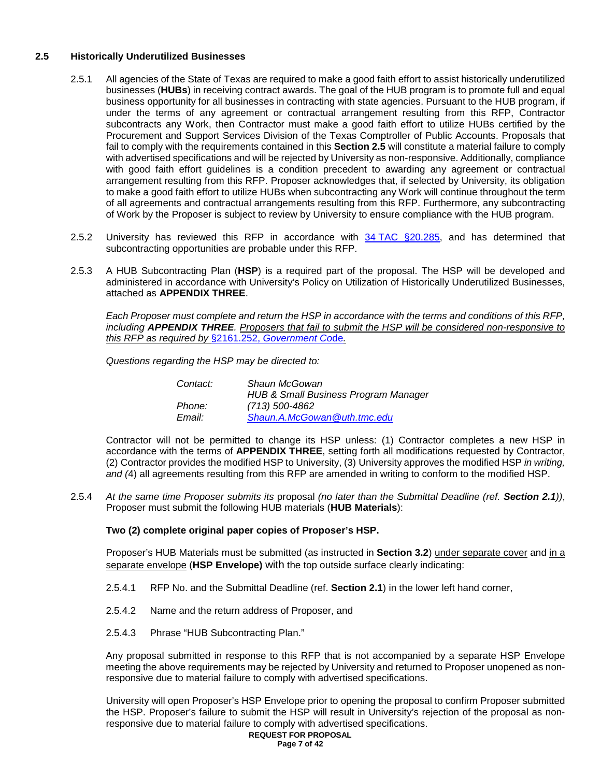#### **2.5 Historically Underutilized Businesses**

- 2.5.1 All agencies of the State of Texas are required to make a good faith effort to assist historically underutilized businesses (**HUBs**) in receiving contract awards. The goal of the HUB program is to promote full and equal business opportunity for all businesses in contracting with state agencies. Pursuant to the HUB program, if under the terms of any agreement or contractual arrangement resulting from this RFP, Contractor subcontracts any Work, then Contractor must make a good faith effort to utilize HUBs certified by the Procurement and Support Services Division of the Texas Comptroller of Public Accounts. Proposals that fail to comply with the requirements contained in this **Section 2.5** will constitute a material failure to comply with advertised specifications and will be rejected by University as non-responsive. Additionally, compliance with good faith effort guidelines is a condition precedent to awarding any agreement or contractual arrangement resulting from this RFP. Proposer acknowledges that, if selected by University, its obligation to make a good faith effort to utilize HUBs when subcontracting any Work will continue throughout the term of all agreements and contractual arrangements resulting from this RFP. Furthermore, any subcontracting of Work by the Proposer is subject to review by University to ensure compliance with the HUB program.
- 2.5.2 University has reviewed this RFP in accordance with 34 TAC [§20.285,](http://texreg.sos.state.tx.us/public/readtac$ext.TacPage?sl=R&app=9&p_dir=&p_rloc=&p_tloc=&p_ploc=&pg=1&p_tac=&ti=34&pt=1&ch=20&rl=285) and has determined that subcontracting opportunities are probable under this RFP.
- 2.5.3 A HUB Subcontracting Plan (**HSP**) is a required part of the proposal. The HSP will be developed and administered in accordance with University's Policy on Utilization of Historically Underutilized Businesses, attached as **APPENDIX THREE**.

*Each Proposer must complete and return the HSP in accordance with the terms and conditions of this RFP, including APPENDIX THREE. Proposers that fail to submit the HSP will be considered non-responsive to this RFP as required by* §2161.252, *[Government Co](http://www.statutes.legis.state.tx.us/Docs/GV/htm/GV.2161.htm#2161.252)*de*.*

*Questions regarding the HSP may be directed to:*

| Contact: | Shaun McGowan                                   |
|----------|-------------------------------------------------|
|          | <b>HUB &amp; Small Business Program Manager</b> |
| Phone:   | (713) 500-4862                                  |
| Email:   | Shaun.A.McGowan@uth.tmc.edu                     |

Contractor will not be permitted to change its HSP unless: (1) Contractor completes a new HSP in accordance with the terms of **APPENDIX THREE**, setting forth all modifications requested by Contractor, (2) Contractor provides the modified HSP to University, (3) University approves the modified HSP *in writing, and (*4) all agreements resulting from this RFP are amended in writing to conform to the modified HSP.

2.5.4 *At the same time Proposer submits its* proposal *(no later than the Submittal Deadline (ref. Section 2.1))*, Proposer must submit the following HUB materials (**HUB Materials**):

**Two (2) complete original paper copies of Proposer's HSP.**

Proposer's HUB Materials must be submitted (as instructed in **Section 3.2**) under separate cover and in a separate envelope (**HSP Envelope)** with the top outside surface clearly indicating:

- 2.5.4.1 RFP No. and the Submittal Deadline (ref. **Section 2.1**) in the lower left hand corner,
- 2.5.4.2 Name and the return address of Proposer, and
- 2.5.4.3 Phrase "HUB Subcontracting Plan."

Any proposal submitted in response to this RFP that is not accompanied by a separate HSP Envelope meeting the above requirements may be rejected by University and returned to Proposer unopened as nonresponsive due to material failure to comply with advertised specifications.

University will open Proposer's HSP Envelope prior to opening the proposal to confirm Proposer submitted the HSP. Proposer's failure to submit the HSP will result in University's rejection of the proposal as nonresponsive due to material failure to comply with advertised specifications.

#### **REQUEST FOR PROPOSAL Page 7 of 42**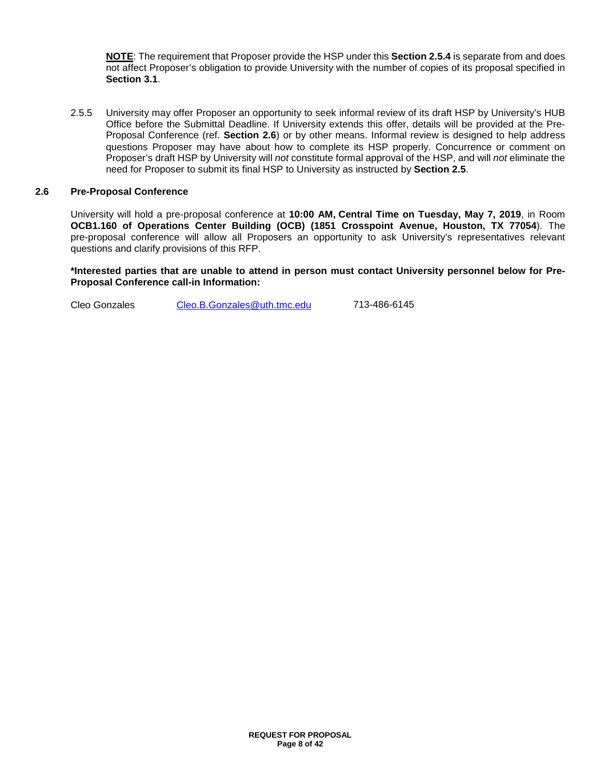**NOTE**: The requirement that Proposer provide the HSP under this **Section 2.5.4** is separate from and does not affect Proposer's obligation to provide University with the number of copies of its proposal specified in **Section 3.1**.

2.5.5 University may offer Proposer an opportunity to seek informal review of its draft HSP by University's HUB Office before the Submittal Deadline. If University extends this offer, details will be provided at the Pre-Proposal Conference (ref. **Section 2.6**) or by other means. Informal review is designed to help address questions Proposer may have about how to complete its HSP properly. Concurrence or comment on Proposer's draft HSP by University will *not* constitute formal approval of the HSP, and will *not* eliminate the need for Proposer to submit its final HSP to University as instructed by **Section 2.5**.

#### **2.6 Pre-Proposal Conference**

University will hold a pre-proposal conference at **10:00 AM, Central Time on Tuesday, May 7, 2019**, in Room **OCB1.160 of Operations Center Building (OCB) (1851 Crosspoint Avenue, Houston, TX 77054**). The pre-proposal conference will allow all Proposers an opportunity to ask University's representatives relevant questions and clarify provisions of this RFP.

**\*Interested parties that are unable to attend in person must contact University personnel below for Pre-Proposal Conference call-in Information:**

Cleo Gonzales [Cleo.B.Gonzales@uth.tmc.edu](mailto:Cleo.B.Gonzales@uth.tmc.edu) 713-486-6145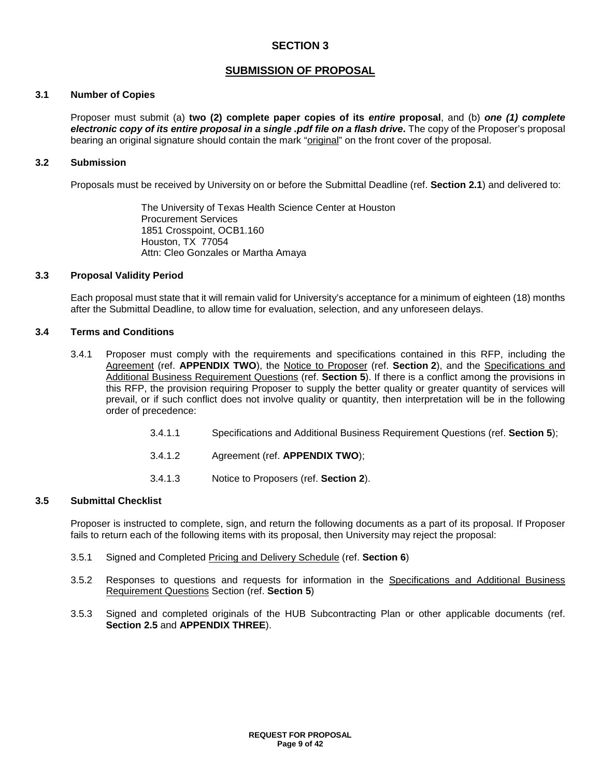## **SUBMISSION OF PROPOSAL**

#### **3.1 Number of Copies**

Proposer must submit (a) **two (2) complete paper copies of its** *entire* **proposal**, and (b) *one (1) complete electronic copy of its entire proposal in a single .pdf file on a flash drive***.** The copy of the Proposer's proposal bearing an original signature should contain the mark "original" on the front cover of the proposal.

#### **3.2 Submission**

Proposals must be received by University on or before the Submittal Deadline (ref. **Section 2.1**) and delivered to:

The University of Texas Health Science Center at Houston Procurement Services 1851 Crosspoint, OCB1.160 Houston, TX 77054 Attn: Cleo Gonzales or Martha Amaya

#### **3.3 Proposal Validity Period**

Each proposal must state that it will remain valid for University's acceptance for a minimum of eighteen (18) months after the Submittal Deadline, to allow time for evaluation, selection, and any unforeseen delays.

#### **3.4 Terms and Conditions**

- 3.4.1 Proposer must comply with the requirements and specifications contained in this RFP, including the Agreement (ref. **APPENDIX TWO**), the Notice to Proposer (ref. **Section 2**), and the Specifications and Additional Business Requirement Questions (ref. **Section 5**). If there is a conflict among the provisions in this RFP, the provision requiring Proposer to supply the better quality or greater quantity of services will prevail, or if such conflict does not involve quality or quantity, then interpretation will be in the following order of precedence:
	- 3.4.1.1 Specifications and Additional Business Requirement Questions (ref. **Section 5**);
	- 3.4.1.2 Agreement (ref. **APPENDIX TWO**);
	- 3.4.1.3 Notice to Proposers (ref. **Section 2**).

#### **3.5 Submittal Checklist**

Proposer is instructed to complete, sign, and return the following documents as a part of its proposal. If Proposer fails to return each of the following items with its proposal, then University may reject the proposal:

- 3.5.1 Signed and Completed Pricing and Delivery Schedule (ref. **Section 6**)
- 3.5.2 Responses to questions and requests for information in the Specifications and Additional Business Requirement Questions Section (ref. **Section 5**)
- 3.5.3 Signed and completed originals of the HUB Subcontracting Plan or other applicable documents (ref. **Section 2.5** and **APPENDIX THREE**).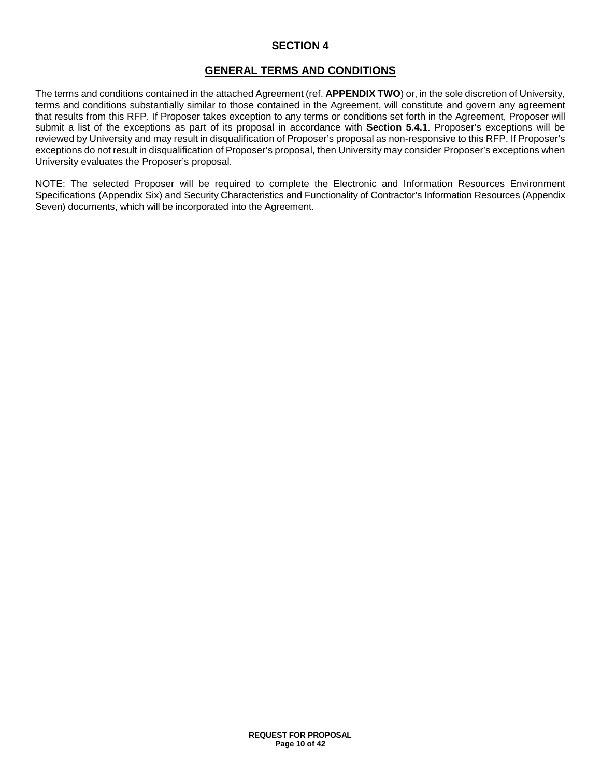## **GENERAL TERMS AND CONDITIONS**

The terms and conditions contained in the attached Agreement (ref. **APPENDIX TWO**) or, in the sole discretion of University, terms and conditions substantially similar to those contained in the Agreement, will constitute and govern any agreement that results from this RFP. If Proposer takes exception to any terms or conditions set forth in the Agreement, Proposer will submit a list of the exceptions as part of its proposal in accordance with **Section 5.4.1**. Proposer's exceptions will be reviewed by University and may result in disqualification of Proposer's proposal as non-responsive to this RFP. If Proposer's exceptions do not result in disqualification of Proposer's proposal, then University may consider Proposer's exceptions when University evaluates the Proposer's proposal.

NOTE: The selected Proposer will be required to complete the Electronic and Information Resources Environment Specifications (Appendix Six) and Security Characteristics and Functionality of Contractor's Information Resources (Appendix Seven) documents, which will be incorporated into the Agreement.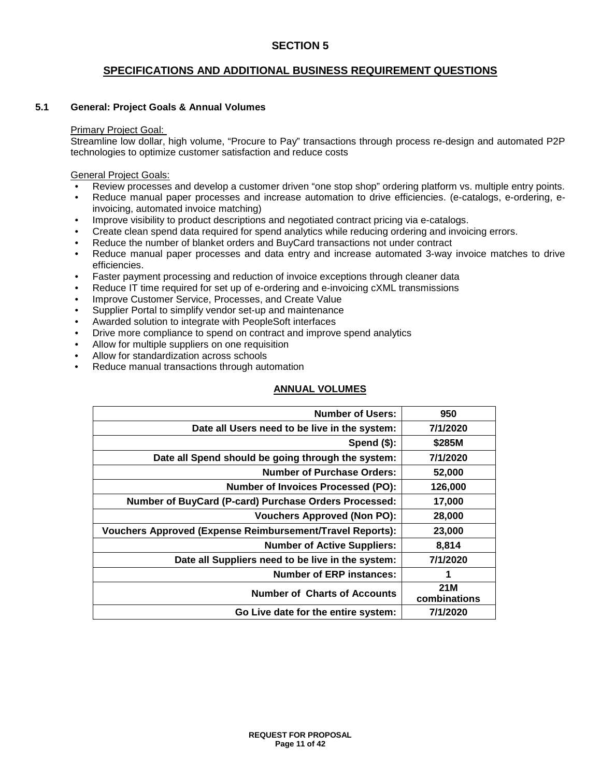## **SPECIFICATIONS AND ADDITIONAL BUSINESS REQUIREMENT QUESTIONS**

#### **5.1 General: Project Goals & Annual Volumes**

#### Primary Project Goal:

Streamline low dollar, high volume, "Procure to Pay" transactions through process re-design and automated P2P technologies to optimize customer satisfaction and reduce costs

General Project Goals:

- Review processes and develop a customer driven "one stop shop" ordering platform vs. multiple entry points.
- Reduce manual paper processes and increase automation to drive efficiencies. (e-catalogs, e-ordering, einvoicing, automated invoice matching)
- Improve visibility to product descriptions and negotiated contract pricing via e-catalogs.
- Create clean spend data required for spend analytics while reducing ordering and invoicing errors.
- Reduce the number of blanket orders and BuyCard transactions not under contract
- Reduce manual paper processes and data entry and increase automated 3-way invoice matches to drive efficiencies.
- Faster payment processing and reduction of invoice exceptions through cleaner data
- Reduce IT time required for set up of e-ordering and e-invoicing cXML transmissions
- Improve Customer Service, Processes, and Create Value
- Supplier Portal to simplify vendor set-up and maintenance
- Awarded solution to integrate with PeopleSoft interfaces
- Drive more compliance to spend on contract and improve spend analytics
- Allow for multiple suppliers on one requisition
- Allow for standardization across schools
- Reduce manual transactions through automation

#### **ANNUAL VOLUMES**

| <b>Number of Users:</b>                                          | 950                 |
|------------------------------------------------------------------|---------------------|
| Date all Users need to be live in the system:                    | 7/1/2020            |
| Spend $($)$ :                                                    | \$285M              |
| Date all Spend should be going through the system:               | 7/1/2020            |
| <b>Number of Purchase Orders:</b>                                | 52,000              |
| <b>Number of Invoices Processed (PO):</b>                        | 126,000             |
| Number of BuyCard (P-card) Purchase Orders Processed:            | 17,000              |
| <b>Vouchers Approved (Non PO):</b>                               | 28,000              |
| <b>Vouchers Approved (Expense Reimbursement/Travel Reports):</b> | 23,000              |
| <b>Number of Active Suppliers:</b>                               | 8,814               |
| Date all Suppliers need to be live in the system:                | 7/1/2020            |
| <b>Number of ERP instances:</b>                                  | 1                   |
| <b>Number of Charts of Accounts</b>                              | 21M<br>combinations |
| Go Live date for the entire system:                              | 7/1/2020            |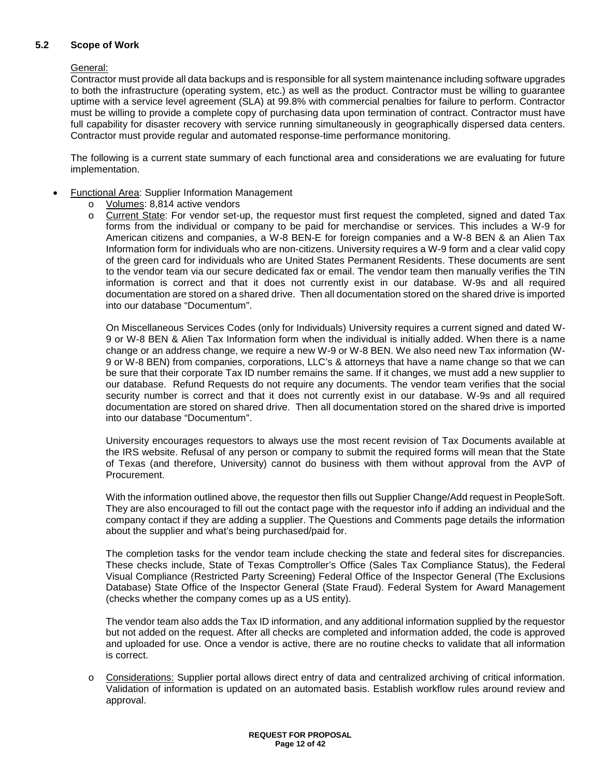#### **5.2 Scope of Work**

#### General:

Contractor must provide all data backups and is responsible for all system maintenance including software upgrades to both the infrastructure (operating system, etc.) as well as the product. Contractor must be willing to guarantee uptime with a service level agreement (SLA) at 99.8% with commercial penalties for failure to perform. Contractor must be willing to provide a complete copy of purchasing data upon termination of contract. Contractor must have full capability for disaster recovery with service running simultaneously in geographically dispersed data centers. Contractor must provide regular and automated response-time performance monitoring.

The following is a current state summary of each functional area and considerations we are evaluating for future implementation.

- Functional Area: Supplier Information Management
	- o Volumes: 8,814 active vendors
	- o Current State: For vendor set-up, the requestor must first request the completed, signed and dated Tax forms from the individual or company to be paid for merchandise or services. This includes a W-9 for American citizens and companies, a W-8 BEN-E for foreign companies and a W-8 BEN & an Alien Tax Information form for individuals who are non-citizens. University requires a W-9 form and a clear valid copy of the green card for individuals who are United States Permanent Residents. These documents are sent to the vendor team via our secure dedicated fax or email. The vendor team then manually verifies the TIN information is correct and that it does not currently exist in our database. W-9s and all required documentation are stored on a shared drive. Then all documentation stored on the shared drive is imported into our database "Documentum".

On Miscellaneous Services Codes (only for Individuals) University requires a current signed and dated W-9 or W-8 BEN & Alien Tax Information form when the individual is initially added. When there is a name change or an address change, we require a new W-9 or W-8 BEN. We also need new Tax information (W-9 or W-8 BEN) from companies, corporations, LLC's & attorneys that have a name change so that we can be sure that their corporate Tax ID number remains the same. If it changes, we must add a new supplier to our database. Refund Requests do not require any documents. The vendor team verifies that the social security number is correct and that it does not currently exist in our database. W-9s and all required documentation are stored on shared drive. Then all documentation stored on the shared drive is imported into our database "Documentum".

University encourages requestors to always use the most recent revision of Tax Documents available at the IRS website. Refusal of any person or company to submit the required forms will mean that the State of Texas (and therefore, University) cannot do business with them without approval from the AVP of Procurement.

With the information outlined above, the requestor then fills out Supplier Change/Add request in PeopleSoft. They are also encouraged to fill out the contact page with the requestor info if adding an individual and the company contact if they are adding a supplier. The Questions and Comments page details the information about the supplier and what's being purchased/paid for.

The completion tasks for the vendor team include checking the state and federal sites for discrepancies. These checks include, State of Texas Comptroller's Office (Sales Tax Compliance Status), the Federal Visual Compliance (Restricted Party Screening) Federal Office of the Inspector General (The Exclusions Database) State Office of the Inspector General (State Fraud). Federal System for Award Management (checks whether the company comes up as a US entity).

The vendor team also adds the Tax ID information, and any additional information supplied by the requestor but not added on the request. After all checks are completed and information added, the code is approved and uploaded for use. Once a vendor is active, there are no routine checks to validate that all information is correct.

o Considerations: Supplier portal allows direct entry of data and centralized archiving of critical information. Validation of information is updated on an automated basis. Establish workflow rules around review and approval.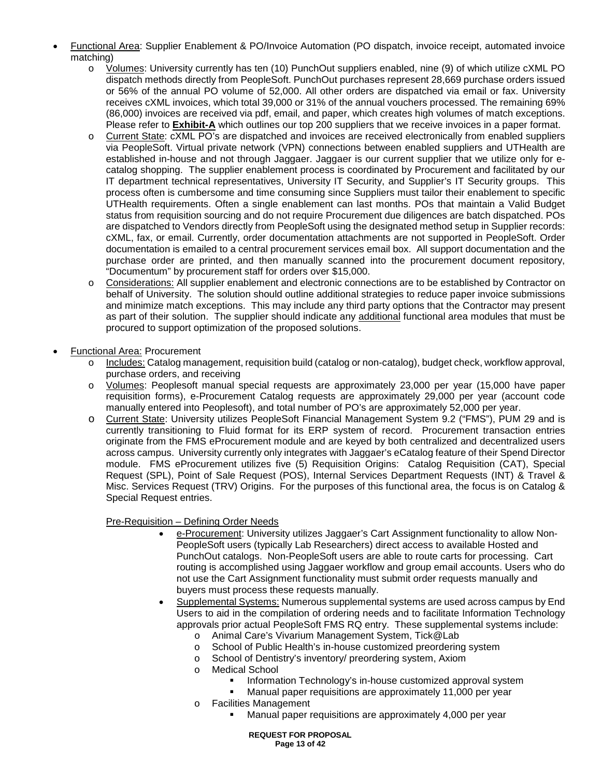- Functional Area: Supplier Enablement & PO/Invoice Automation (PO dispatch, invoice receipt, automated invoice matching)
	- o Volumes: University currently has ten (10) PunchOut suppliers enabled, nine (9) of which utilize cXML PO dispatch methods directly from PeopleSoft. PunchOut purchases represent 28,669 purchase orders issued or 56% of the annual PO volume of 52,000. All other orders are dispatched via email or fax. University receives cXML invoices, which total 39,000 or 31% of the annual vouchers processed. The remaining 69% (86,000) invoices are received via pdf, email, and paper, which creates high volumes of match exceptions. Please refer to **Exhibit-A** which outlines our top 200 suppliers that we receive invoices in a paper format.
	- o Current State: cXML PO's are dispatched and invoices are received electronically from enabled suppliers via PeopleSoft. Virtual private network (VPN) connections between enabled suppliers and UTHealth are established in-house and not through Jaggaer. Jaggaer is our current supplier that we utilize only for ecatalog shopping. The supplier enablement process is coordinated by Procurement and facilitated by our IT department technical representatives, University IT Security, and Supplier's IT Security groups. This process often is cumbersome and time consuming since Suppliers must tailor their enablement to specific UTHealth requirements. Often a single enablement can last months. POs that maintain a Valid Budget status from requisition sourcing and do not require Procurement due diligences are batch dispatched. POs are dispatched to Vendors directly from PeopleSoft using the designated method setup in Supplier records: cXML, fax, or email. Currently, order documentation attachments are not supported in PeopleSoft. Order documentation is emailed to a central procurement services email box. All support documentation and the purchase order are printed, and then manually scanned into the procurement document repository, "Documentum" by procurement staff for orders over \$15,000.
	- o Considerations: All supplier enablement and electronic connections are to be established by Contractor on behalf of University. The solution should outline additional strategies to reduce paper invoice submissions and minimize match exceptions. This may include any third party options that the Contractor may present as part of their solution. The supplier should indicate any additional functional area modules that must be procured to support optimization of the proposed solutions.
- Functional Area: Procurement
	- o Includes: Catalog management, requisition build (catalog or non-catalog), budget check, workflow approval, purchase orders, and receiving
	- o Volumes: Peoplesoft manual special requests are approximately 23,000 per year (15,000 have paper requisition forms), e-Procurement Catalog requests are approximately 29,000 per year (account code manually entered into Peoplesoft), and total number of PO's are approximately 52,000 per year.
	- o Current State: University utilizes PeopleSoft Financial Management System 9.2 ("FMS"), PUM 29 and is currently transitioning to Fluid format for its ERP system of record. Procurement transaction entries originate from the FMS eProcurement module and are keyed by both centralized and decentralized users across campus. University currently only integrates with Jaggaer's eCatalog feature of their Spend Director module. FMS eProcurement utilizes five (5) Requisition Origins: Catalog Requisition (CAT), Special Request (SPL), Point of Sale Request (POS), Internal Services Department Requests (INT) & Travel & Misc. Services Request (TRV) Origins. For the purposes of this functional area, the focus is on Catalog & Special Request entries.

## Pre-Requisition – Defining Order Needs

- e-Procurement: University utilizes Jaggaer's Cart Assignment functionality to allow Non-PeopleSoft users (typically Lab Researchers) direct access to available Hosted and PunchOut catalogs. Non-PeopleSoft users are able to route carts for processing. Cart routing is accomplished using Jaggaer workflow and group email accounts. Users who do not use the Cart Assignment functionality must submit order requests manually and buyers must process these requests manually.
- Supplemental Systems: Numerous supplemental systems are used across campus by End Users to aid in the compilation of ordering needs and to facilitate Information Technology approvals prior actual PeopleSoft FMS RQ entry. These supplemental systems include:
	- o Animal Care's Vivarium Management System, Tick@Lab
	- o School of Public Health's in-house customized preordering system<br>
	o School of Dentistry's inventory/ preordering system, Axiom
	- School of Dentistry's inventory/ preordering system, Axiom
	- o Medical School
		- Information Technology's in-house customized approval system
		- Manual paper requisitions are approximately 11,000 per year
	- o Facilities Management
		- Manual paper requisitions are approximately 4,000 per year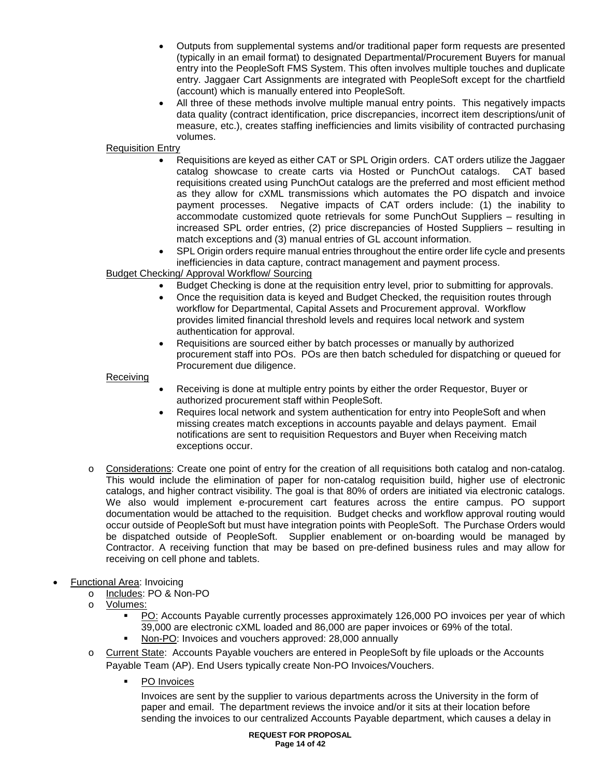- Outputs from supplemental systems and/or traditional paper form requests are presented (typically in an email format) to designated Departmental/Procurement Buyers for manual entry into the PeopleSoft FMS System. This often involves multiple touches and duplicate entry. Jaggaer Cart Assignments are integrated with PeopleSoft except for the chartfield (account) which is manually entered into PeopleSoft.
- All three of these methods involve multiple manual entry points. This negatively impacts data quality (contract identification, price discrepancies, incorrect item descriptions/unit of measure, etc.), creates staffing inefficiencies and limits visibility of contracted purchasing volumes.

## Requisition Entry

- Requisitions are keyed as either CAT or SPL Origin orders. CAT orders utilize the Jaggaer catalog showcase to create carts via Hosted or PunchOut catalogs. CAT based requisitions created using PunchOut catalogs are the preferred and most efficient method as they allow for cXML transmissions which automates the PO dispatch and invoice payment processes. Negative impacts of CAT orders include: (1) the inability to accommodate customized quote retrievals for some PunchOut Suppliers – resulting in increased SPL order entries, (2) price discrepancies of Hosted Suppliers – resulting in match exceptions and (3) manual entries of GL account information.
- SPL Origin orders require manual entries throughout the entire order life cycle and presents inefficiencies in data capture, contract management and payment process.

## Budget Checking/ Approval Workflow/ Sourcing

- Budget Checking is done at the requisition entry level, prior to submitting for approvals.
- Once the requisition data is keyed and Budget Checked, the requisition routes through workflow for Departmental, Capital Assets and Procurement approval. Workflow provides limited financial threshold levels and requires local network and system authentication for approval.
- Requisitions are sourced either by batch processes or manually by authorized procurement staff into POs. POs are then batch scheduled for dispatching or queued for Procurement due diligence.

## Receiving

- Receiving is done at multiple entry points by either the order Requestor, Buyer or authorized procurement staff within PeopleSoft.
- Requires local network and system authentication for entry into PeopleSoft and when missing creates match exceptions in accounts payable and delays payment. Email notifications are sent to requisition Requestors and Buyer when Receiving match exceptions occur.
- o Considerations: Create one point of entry for the creation of all requisitions both catalog and non-catalog. This would include the elimination of paper for non-catalog requisition build, higher use of electronic catalogs, and higher contract visibility. The goal is that 80% of orders are initiated via electronic catalogs. We also would implement e-procurement cart features across the entire campus. PO support documentation would be attached to the requisition. Budget checks and workflow approval routing would occur outside of PeopleSoft but must have integration points with PeopleSoft. The Purchase Orders would be dispatched outside of PeopleSoft. Supplier enablement or on-boarding would be managed by Contractor. A receiving function that may be based on pre-defined business rules and may allow for receiving on cell phone and tablets.

## • Functional Area: Invoicing

- o Includes: PO & Non-PO<br>o Volumes:
- Volumes:
	- PO: Accounts Payable currently processes approximately 126,000 PO invoices per year of which 39,000 are electronic cXML loaded and 86,000 are paper invoices or 69% of the total.
	- Non-PO: Invoices and vouchers approved: 28,000 annually
- o Current State: Accounts Payable vouchers are entered in PeopleSoft by file uploads or the Accounts Payable Team (AP). End Users typically create Non-PO Invoices/Vouchers.
	- PO Invoices

Invoices are sent by the supplier to various departments across the University in the form of paper and email. The department reviews the invoice and/or it sits at their location before sending the invoices to our centralized Accounts Payable department, which causes a delay in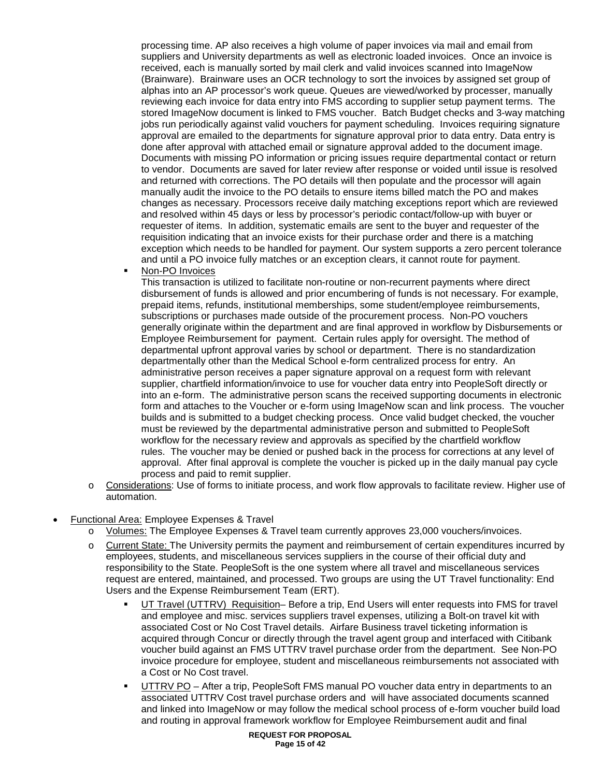processing time. AP also receives a high volume of paper invoices via mail and email from suppliers and University departments as well as electronic loaded invoices. Once an invoice is received, each is manually sorted by mail clerk and valid invoices scanned into ImageNow (Brainware). Brainware uses an OCR technology to sort the invoices by assigned set group of alphas into an AP processor's work queue. Queues are viewed/worked by processer, manually reviewing each invoice for data entry into FMS according to supplier setup payment terms. The stored ImageNow document is linked to FMS voucher. Batch Budget checks and 3-way matching jobs run periodically against valid vouchers for payment scheduling. Invoices requiring signature approval are emailed to the departments for signature approval prior to data entry. Data entry is done after approval with attached email or signature approval added to the document image. Documents with missing PO information or pricing issues require departmental contact or return to vendor. Documents are saved for later review after response or voided until issue is resolved and returned with corrections. The PO details will then populate and the processor will again manually audit the invoice to the PO details to ensure items billed match the PO and makes changes as necessary. Processors receive daily matching exceptions report which are reviewed and resolved within 45 days or less by processor's periodic contact/follow-up with buyer or requester of items. In addition, systematic emails are sent to the buyer and requester of the requisition indicating that an invoice exists for their purchase order and there is a matching exception which needs to be handled for payment. Our system supports a zero percent tolerance and until a PO invoice fully matches or an exception clears, it cannot route for payment.

Non-PO Invoices

This transaction is utilized to facilitate non-routine or non-recurrent payments where direct disbursement of funds is allowed and prior encumbering of funds is not necessary. For example, prepaid items, refunds, institutional memberships, some student/employee reimbursements, subscriptions or purchases made outside of the procurement process. Non-PO vouchers generally originate within the department and are final approved in workflow by Disbursements or Employee Reimbursement for payment. Certain rules apply for oversight. The method of departmental upfront approval varies by school or department. There is no standardization departmentally other than the Medical School e-form centralized process for entry. An administrative person receives a paper signature approval on a request form with relevant supplier, chartfield information/invoice to use for voucher data entry into PeopleSoft directly or into an e-form. The administrative person scans the received supporting documents in electronic form and attaches to the Voucher or e-form using ImageNow scan and link process. The voucher builds and is submitted to a budget checking process. Once valid budget checked, the voucher must be reviewed by the departmental administrative person and submitted to PeopleSoft workflow for the necessary review and approvals as specified by the chartfield workflow rules. The voucher may be denied or pushed back in the process for corrections at any level of approval. After final approval is complete the voucher is picked up in the daily manual pay cycle process and paid to remit supplier.

- o Considerations: Use of forms to initiate process, and work flow approvals to facilitate review. Higher use of automation.
- Functional Area: Employee Expenses & Travel
	- o Volumes: The Employee Expenses & Travel team currently approves 23,000 vouchers/invoices.
	- o Current State: The University permits the payment and reimbursement of certain expenditures incurred by employees, students, and miscellaneous services suppliers in the course of their official duty and responsibility to the State. PeopleSoft is the one system where all travel and miscellaneous services request are entered, maintained, and processed. Two groups are using the UT Travel functionality: End Users and the Expense Reimbursement Team (ERT).
		- UT Travel (UTTRV) Requisition– Before a trip, End Users will enter requests into FMS for travel and employee and misc. services suppliers travel expenses, utilizing a Bolt-on travel kit with associated Cost or No Cost Travel details. Airfare Business travel ticketing information is acquired through Concur or directly through the travel agent group and interfaced with Citibank voucher build against an FMS UTTRV travel purchase order from the department. See Non-PO invoice procedure for employee, student and miscellaneous reimbursements not associated with a Cost or No Cost travel.
		- UTTRV PO After a trip, PeopleSoft FMS manual PO voucher data entry in departments to an associated UTTRV Cost travel purchase orders and will have associated documents scanned and linked into ImageNow or may follow the medical school process of e-form voucher build load and routing in approval framework workflow for Employee Reimbursement audit and final

**REQUEST FOR PROPOSAL Page 15 of 42**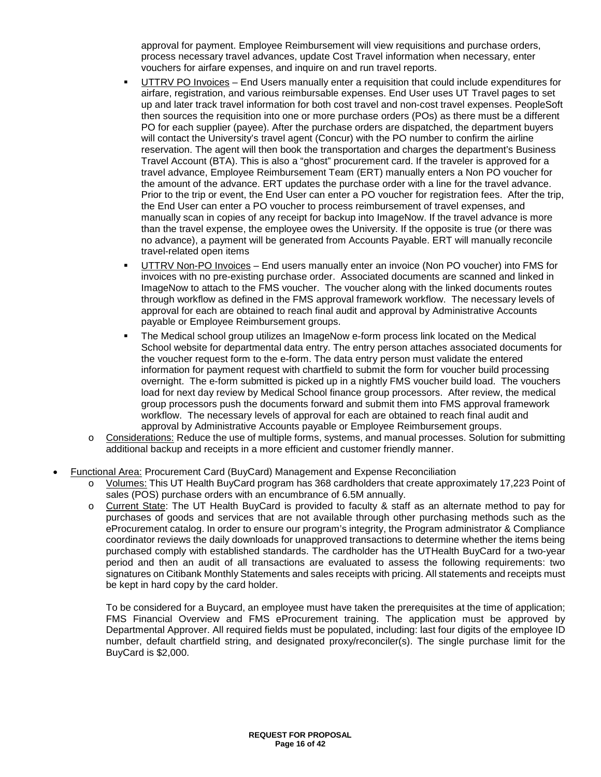approval for payment. Employee Reimbursement will view requisitions and purchase orders, process necessary travel advances, update Cost Travel information when necessary, enter vouchers for airfare expenses, and inquire on and run travel reports.

- UTTRV PO Invoices End Users manually enter a requisition that could include expenditures for airfare, registration, and various reimbursable expenses. End User uses UT Travel pages to set up and later track travel information for both cost travel and non-cost travel expenses. PeopleSoft then sources the requisition into one or more purchase orders (POs) as there must be a different PO for each supplier (payee). After the purchase orders are dispatched, the department buyers will contact the University's travel agent (Concur) with the PO number to confirm the airline reservation. The agent will then book the transportation and charges the department's Business Travel Account (BTA). This is also a "ghost" procurement card. If the traveler is approved for a travel advance, Employee Reimbursement Team (ERT) manually enters a Non PO voucher for the amount of the advance. ERT updates the purchase order with a line for the travel advance. Prior to the trip or event, the End User can enter a PO voucher for registration fees. After the trip, the End User can enter a PO voucher to process reimbursement of travel expenses, and manually scan in copies of any receipt for backup into ImageNow. If the travel advance is more than the travel expense, the employee owes the University. If the opposite is true (or there was no advance), a payment will be generated from Accounts Payable. ERT will manually reconcile travel-related open items
- UTTRV Non-PO Invoices End users manually enter an invoice (Non PO voucher) into FMS for invoices with no pre-existing purchase order. Associated documents are scanned and linked in ImageNow to attach to the FMS voucher. The voucher along with the linked documents routes through workflow as defined in the FMS approval framework workflow. The necessary levels of approval for each are obtained to reach final audit and approval by Administrative Accounts payable or Employee Reimbursement groups.
- The Medical school group utilizes an ImageNow e-form process link located on the Medical School website for departmental data entry. The entry person attaches associated documents for the voucher request form to the e-form. The data entry person must validate the entered information for payment request with chartfield to submit the form for voucher build processing overnight. The e-form submitted is picked up in a nightly FMS voucher build load. The vouchers load for next day review by Medical School finance group processors. After review, the medical group processors push the documents forward and submit them into FMS approval framework workflow. The necessary levels of approval for each are obtained to reach final audit and approval by Administrative Accounts payable or Employee Reimbursement groups.
- o Considerations: Reduce the use of multiple forms, systems, and manual processes. Solution for submitting additional backup and receipts in a more efficient and customer friendly manner.
- Functional Area: Procurement Card (BuyCard) Management and Expense Reconciliation
	- o Volumes: This UT Health BuyCard program has 368 cardholders that create approximately 17,223 Point of sales (POS) purchase orders with an encumbrance of 6.5M annually.
	- o Current State: The UT Health BuyCard is provided to faculty & staff as an alternate method to pay for purchases of goods and services that are not available through other purchasing methods such as the eProcurement catalog. In order to ensure our program's integrity, the Program administrator & Compliance coordinator reviews the daily downloads for unapproved transactions to determine whether the items being purchased comply with established standards. The cardholder has the UTHealth BuyCard for a two-year period and then an audit of all transactions are evaluated to assess the following requirements: two signatures on Citibank Monthly Statements and sales receipts with pricing. All statements and receipts must be kept in hard copy by the card holder.

To be considered for a Buycard, an employee must have taken the prerequisites at the time of application; FMS Financial Overview and FMS eProcurement training. The application must be approved by Departmental Approver. All required fields must be populated, including: last four digits of the employee ID number, default chartfield string, and designated proxy/reconciler(s). The single purchase limit for the BuyCard is \$2,000.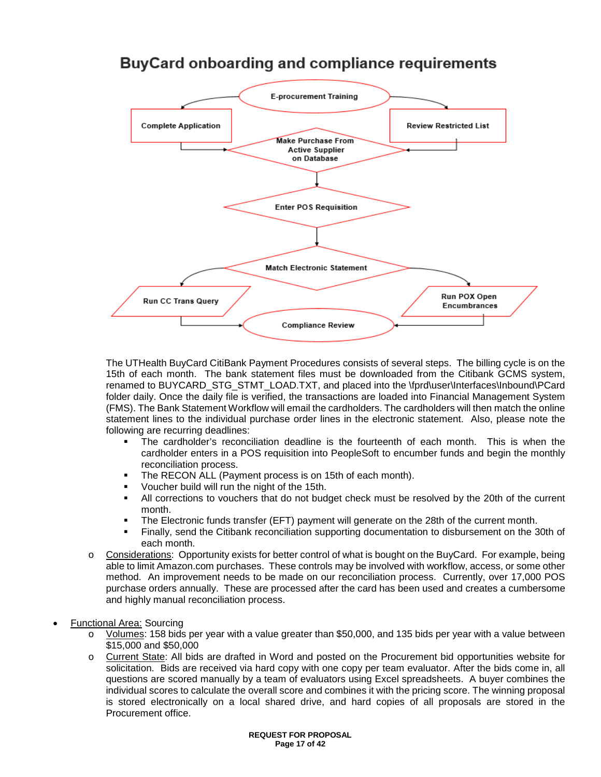

## **BuyCard onboarding and compliance requirements**

The UTHealth BuyCard CitiBank Payment Procedures consists of several steps. The billing cycle is on the 15th of each month. The bank statement files must be downloaded from the Citibank GCMS system, renamed to BUYCARD\_STG\_STMT\_LOAD.TXT, and placed into the \fprd\user\Interfaces\Inbound\PCard folder daily. Once the daily file is verified, the transactions are loaded into Financial Management System (FMS). The Bank Statement Workflow will email the cardholders. The cardholders will then match the online statement lines to the individual purchase order lines in the electronic statement. Also, please note the following are recurring deadlines:

- The cardholder's reconciliation deadline is the fourteenth of each month. This is when the cardholder enters in a POS requisition into PeopleSoft to encumber funds and begin the monthly reconciliation process.
- **The RECON ALL (Payment process is on 15th of each month).**
- **Voucher build will run the night of the 15th.**
- All corrections to vouchers that do not budget check must be resolved by the 20th of the current month.
- The Electronic funds transfer (EFT) payment will generate on the 28th of the current month.
- Finally, send the Citibank reconciliation supporting documentation to disbursement on the 30th of each month.
- o Considerations: Opportunity exists for better control of what is bought on the BuyCard. For example, being able to limit Amazon.com purchases. These controls may be involved with workflow, access, or some other method. An improvement needs to be made on our reconciliation process. Currently, over 17,000 POS purchase orders annually. These are processed after the card has been used and creates a cumbersome and highly manual reconciliation process.

## • Functional Area: Sourcing

- o Volumes: 158 bids per year with a value greater than \$50,000, and 135 bids per year with a value between \$15,000 and \$50,000
- o Current State: All bids are drafted in Word and posted on the Procurement bid opportunities website for solicitation. Bids are received via hard copy with one copy per team evaluator. After the bids come in, all questions are scored manually by a team of evaluators using Excel spreadsheets. A buyer combines the individual scores to calculate the overall score and combines it with the pricing score. The winning proposal is stored electronically on a local shared drive, and hard copies of all proposals are stored in the Procurement office.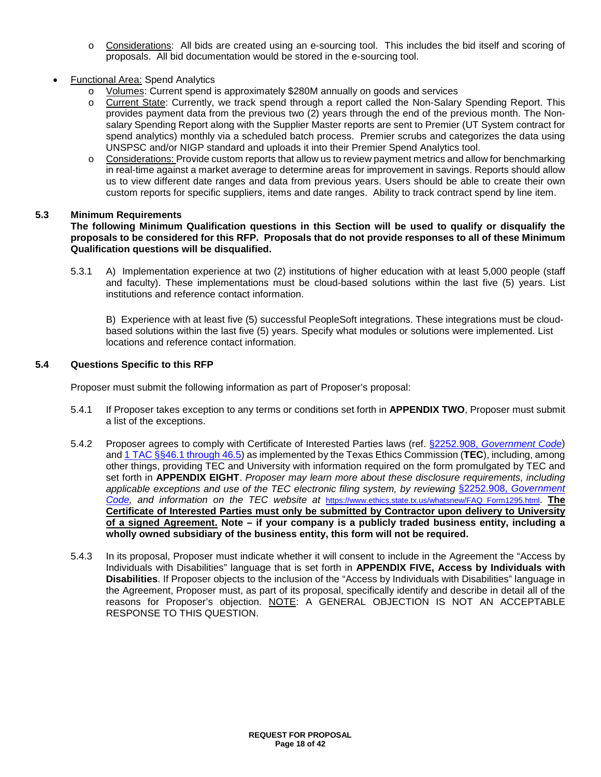- o Considerations: All bids are created using an e-sourcing tool. This includes the bid itself and scoring of proposals. All bid documentation would be stored in the e-sourcing tool.
- Functional Area: Spend Analytics
	- o Volumes: Current spend is approximately \$280M annually on goods and services
	- o Current State: Currently, we track spend through a report called the Non-Salary Spending Report. This provides payment data from the previous two (2) years through the end of the previous month. The Nonsalary Spending Report along with the Supplier Master reports are sent to Premier (UT System contract for spend analytics) monthly via a scheduled batch process. Premier scrubs and categorizes the data using UNSPSC and/or NIGP standard and uploads it into their Premier Spend Analytics tool.
	- o Considerations: Provide custom reports that allow us to review payment metrics and allow for benchmarking in real-time against a market average to determine areas for improvement in savings. Reports should allow us to view different date ranges and data from previous years. Users should be able to create their own custom reports for specific suppliers, items and date ranges. Ability to track contract spend by line item.

#### **5.3 Minimum Requirements**

#### **The following Minimum Qualification questions in this Section will be used to qualify or disqualify the proposals to be considered for this RFP. Proposals that do not provide responses to all of these Minimum Qualification questions will be disqualified.**

5.3.1 A) Implementation experience at two (2) institutions of higher education with at least 5,000 people (staff and faculty). These implementations must be cloud-based solutions within the last five (5) years. List institutions and reference contact information.

B) Experience with at least five (5) successful PeopleSoft integrations. These integrations must be cloudbased solutions within the last five (5) years. Specify what modules or solutions were implemented. List locations and reference contact information.

#### **5.4 Questions Specific to this RFP**

Proposer must submit the following information as part of Proposer's proposal:

- 5.4.1 If Proposer takes exception to any terms or conditions set forth in **APPENDIX TWO**, Proposer must submit a list of the exceptions.
- 5.4.2 Proposer agrees to comply with Certificate of Interested Parties laws (ref. §2252.908, *[Government Code](http://www.statutes.legis.state.tx.us/Docs/GV/htm/GV.2252.htm#2252.908)*) and 1 TAC [§§46.1 through 46.5\)](https://www.ethics.state.tx.us/rules/adopted_Nov_2015.html#Ch46.1) as implemented by the Texas Ethics Commission (**TEC**), including, among other things, providing TEC and University with information required on the form promulgated by TEC and set forth in **APPENDIX EIGHT**. *Proposer may learn more about these disclosure requirements, including applicable exceptions and use of the TEC electronic filing system, by reviewing* §2252.908, *[Government](http://www.statutes.legis.state.tx.us/Docs/GV/htm/GV.2252.htm#2252.908)  [Code,](http://www.statutes.legis.state.tx.us/Docs/GV/htm/GV.2252.htm#2252.908) and information on the TEC website at* [https://www.ethics.state.tx.us/whatsnew/FAQ\\_Form1295.html.](https://www.ethics.state.tx.us/whatsnew/FAQ_Form1295.html) **The Certificate of Interested Parties must only be submitted by Contractor upon delivery to University of a signed Agreement. Note – if your company is a publicly traded business entity, including a wholly owned subsidiary of the business entity, this form will not be required.**
- 5.4.3 In its proposal, Proposer must indicate whether it will consent to include in the Agreement the "Access by Individuals with Disabilities" language that is set forth in **APPENDIX FIVE, Access by Individuals with Disabilities**. If Proposer objects to the inclusion of the "Access by Individuals with Disabilities" language in the Agreement, Proposer must, as part of its proposal, specifically identify and describe in detail all of the reasons for Proposer's objection. NOTE: A GENERAL OBJECTION IS NOT AN ACCEPTABLE RESPONSE TO THIS QUESTION.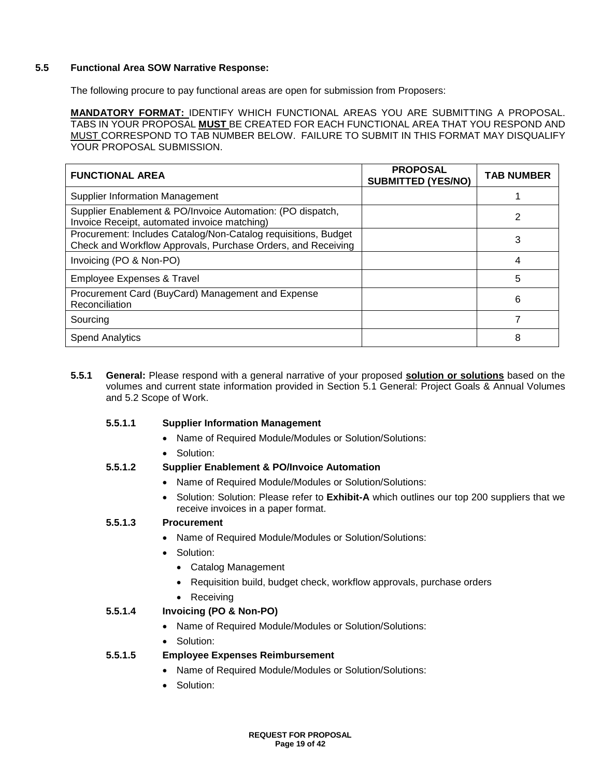#### **5.5 Functional Area SOW Narrative Response:**

The following procure to pay functional areas are open for submission from Proposers:

**MANDATORY FORMAT:** IDENTIFY WHICH FUNCTIONAL AREAS YOU ARE SUBMITTING A PROPOSAL. TABS IN YOUR PROPOSAL **MUST** BE CREATED FOR EACH FUNCTIONAL AREA THAT YOU RESPOND AND MUST CORRESPOND TO TAB NUMBER BELOW. FAILURE TO SUBMIT IN THIS FORMAT MAY DISQUALIFY YOUR PROPOSAL SUBMISSION.

| <b>FUNCTIONAL AREA</b>                                                                                                         | <b>PROPOSAL</b><br><b>SUBMITTED (YES/NO)</b> | <b>TAB NUMBER</b> |
|--------------------------------------------------------------------------------------------------------------------------------|----------------------------------------------|-------------------|
| Supplier Information Management                                                                                                |                                              |                   |
| Supplier Enablement & PO/Invoice Automation: (PO dispatch,<br>Invoice Receipt, automated invoice matching)                     |                                              | 2                 |
| Procurement: Includes Catalog/Non-Catalog requisitions, Budget<br>Check and Workflow Approvals, Purchase Orders, and Receiving |                                              | 3                 |
| Invoicing (PO & Non-PO)                                                                                                        |                                              | 4                 |
| <b>Employee Expenses &amp; Travel</b>                                                                                          |                                              | 5                 |
| Procurement Card (BuyCard) Management and Expense<br>Reconciliation                                                            |                                              | 6                 |
| Sourcing                                                                                                                       |                                              |                   |
| <b>Spend Analytics</b>                                                                                                         |                                              | 8                 |

**5.5.1 General:** Please respond with a general narrative of your proposed **solution or solutions** based on the volumes and current state information provided in Section 5.1 General: Project Goals & Annual Volumes and 5.2 Scope of Work.

#### **5.5.1.1 Supplier Information Management**

- Name of Required Module/Modules or Solution/Solutions:
- Solution:

## **5.5.1.2 Supplier Enablement & PO/Invoice Automation**

- Name of Required Module/Modules or Solution/Solutions:
- Solution: Solution: Please refer to **Exhibit-A** which outlines our top 200 suppliers that we receive invoices in a paper format.

## **5.5.1.3 Procurement**

- Name of Required Module/Modules or Solution/Solutions:
- Solution:
	- Catalog Management
	- Requisition build, budget check, workflow approvals, purchase orders
	- Receiving

## **5.5.1.4 Invoicing (PO & Non-PO)**

- Name of Required Module/Modules or Solution/Solutions:
- Solution:

## **5.5.1.5 Employee Expenses Reimbursement**

- Name of Required Module/Modules or Solution/Solutions:
- Solution: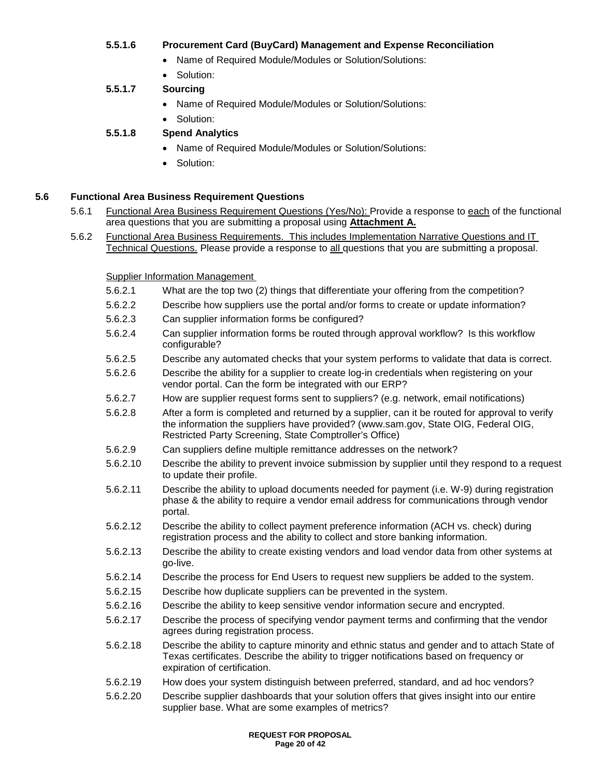## **5.5.1.6 Procurement Card (BuyCard) Management and Expense Reconciliation**

- Name of Required Module/Modules or Solution/Solutions:
- Solution:
- **5.5.1.7 Sourcing**
	- Name of Required Module/Modules or Solution/Solutions:
	- Solution:

## **5.5.1.8 Spend Analytics**

- Name of Required Module/Modules or Solution/Solutions:
- Solution:

#### **5.6 Functional Area Business Requirement Questions**

- 5.6.1 Functional Area Business Requirement Questions (Yes/No): Provide a response to each of the functional area questions that you are submitting a proposal using **Attachment A.**
- 5.6.2 Functional Area Business Requirements. This includes Implementation Narrative Questions and IT Technical Questions. Please provide a response to all questions that you are submitting a proposal.

Supplier Information Management

- 5.6.2.1 What are the top two (2) things that differentiate your offering from the competition?
- 5.6.2.2 Describe how suppliers use the portal and/or forms to create or update information?
- 5.6.2.3 Can supplier information forms be configured?
- 5.6.2.4 Can supplier information forms be routed through approval workflow? Is this workflow configurable?
- 5.6.2.5 Describe any automated checks that your system performs to validate that data is correct.
- 5.6.2.6 Describe the ability for a supplier to create log-in credentials when registering on your vendor portal. Can the form be integrated with our ERP?
- 5.6.2.7 How are supplier request forms sent to suppliers? (e.g. network, email notifications)
- 5.6.2.8 After a form is completed and returned by a supplier, can it be routed for approval to verify the information the suppliers have provided? (www.sam.gov, State OIG, Federal OIG, Restricted Party Screening, State Comptroller's Office)
- 5.6.2.9 Can suppliers define multiple remittance addresses on the network?
- 5.6.2.10 Describe the ability to prevent invoice submission by supplier until they respond to a request to update their profile.
- 5.6.2.11 Describe the ability to upload documents needed for payment (i.e. W-9) during registration phase & the ability to require a vendor email address for communications through vendor portal.
- 5.6.2.12 Describe the ability to collect payment preference information (ACH vs. check) during registration process and the ability to collect and store banking information.
- 5.6.2.13 Describe the ability to create existing vendors and load vendor data from other systems at go-live.
- 5.6.2.14 Describe the process for End Users to request new suppliers be added to the system.
- 5.6.2.15 Describe how duplicate suppliers can be prevented in the system.
- 5.6.2.16 Describe the ability to keep sensitive vendor information secure and encrypted.
- 5.6.2.17 Describe the process of specifying vendor payment terms and confirming that the vendor agrees during registration process.
- 5.6.2.18 Describe the ability to capture minority and ethnic status and gender and to attach State of Texas certificates. Describe the ability to trigger notifications based on frequency or expiration of certification.
- 5.6.2.19 How does your system distinguish between preferred, standard, and ad hoc vendors?
- 5.6.2.20 Describe supplier dashboards that your solution offers that gives insight into our entire supplier base. What are some examples of metrics?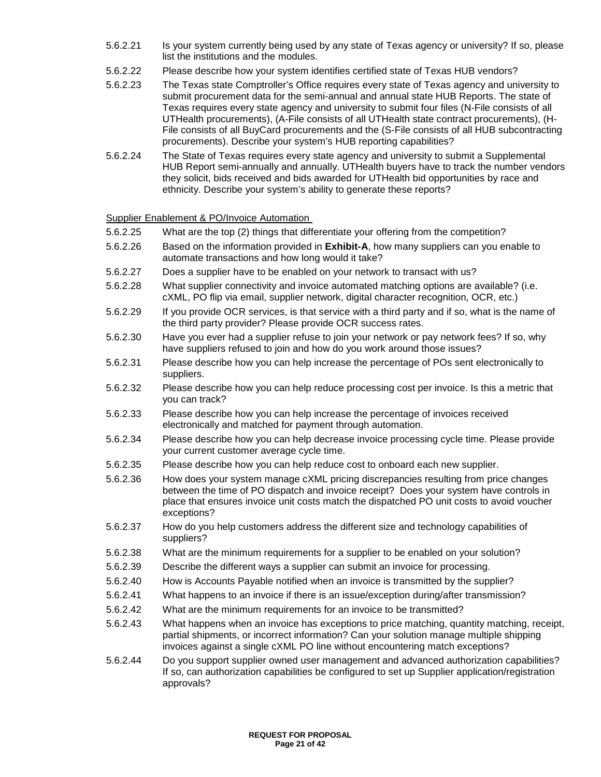- 5.6.2.21 Is your system currently being used by any state of Texas agency or university? If so, please list the institutions and the modules.
- 5.6.2.22 Please describe how your system identifies certified state of Texas HUB vendors?
- 5.6.2.23 The Texas state Comptroller's Office requires every state of Texas agency and university to submit procurement data for the semi-annual and annual state HUB Reports. The state of Texas requires every state agency and university to submit four files (N-File consists of all UTHealth procurements), (A-File consists of all UTHealth state contract procurements), (H-File consists of all BuyCard procurements and the (S-File consists of all HUB subcontracting procurements). Describe your system's HUB reporting capabilities?
- 5.6.2.24 The State of Texas requires every state agency and university to submit a Supplemental HUB Report semi-annually and annually. UTHealth buyers have to track the number vendors they solicit, bids received and bids awarded for UTHealth bid opportunities by race and ethnicity. Describe your system's ability to generate these reports?

Supplier Enablement & PO/Invoice Automation

- 5.6.2.25 What are the top (2) things that differentiate your offering from the competition?
- 5.6.2.26 Based on the information provided in **Exhibit-A**, how many suppliers can you enable to automate transactions and how long would it take?
- 5.6.2.27 Does a supplier have to be enabled on your network to transact with us?
- 5.6.2.28 What supplier connectivity and invoice automated matching options are available? (i.e. cXML, PO flip via email, supplier network, digital character recognition, OCR, etc.)
- 5.6.2.29 If you provide OCR services, is that service with a third party and if so, what is the name of the third party provider? Please provide OCR success rates.
- 5.6.2.30 Have you ever had a supplier refuse to join your network or pay network fees? If so, why have suppliers refused to join and how do you work around those issues?
- 5.6.2.31 Please describe how you can help increase the percentage of POs sent electronically to suppliers.
- 5.6.2.32 Please describe how you can help reduce processing cost per invoice. Is this a metric that you can track?
- 5.6.2.33 Please describe how you can help increase the percentage of invoices received electronically and matched for payment through automation.
- 5.6.2.34 Please describe how you can help decrease invoice processing cycle time. Please provide your current customer average cycle time.
- 5.6.2.35 Please describe how you can help reduce cost to onboard each new supplier.
- 5.6.2.36 How does your system manage cXML pricing discrepancies resulting from price changes between the time of PO dispatch and invoice receipt? Does your system have controls in place that ensures invoice unit costs match the dispatched PO unit costs to avoid voucher exceptions?
- 5.6.2.37 How do you help customers address the different size and technology capabilities of suppliers?
- 5.6.2.38 What are the minimum requirements for a supplier to be enabled on your solution?
- 5.6.2.39 Describe the different ways a supplier can submit an invoice for processing.
- 5.6.2.40 How is Accounts Payable notified when an invoice is transmitted by the supplier?
- 5.6.2.41 What happens to an invoice if there is an issue/exception during/after transmission?
- 5.6.2.42 What are the minimum requirements for an invoice to be transmitted?
- 5.6.2.43 What happens when an invoice has exceptions to price matching, quantity matching, receipt, partial shipments, or incorrect information? Can your solution manage multiple shipping invoices against a single cXML PO line without encountering match exceptions?
- 5.6.2.44 Do you support supplier owned user management and advanced authorization capabilities? If so, can authorization capabilities be configured to set up Supplier application/registration approvals?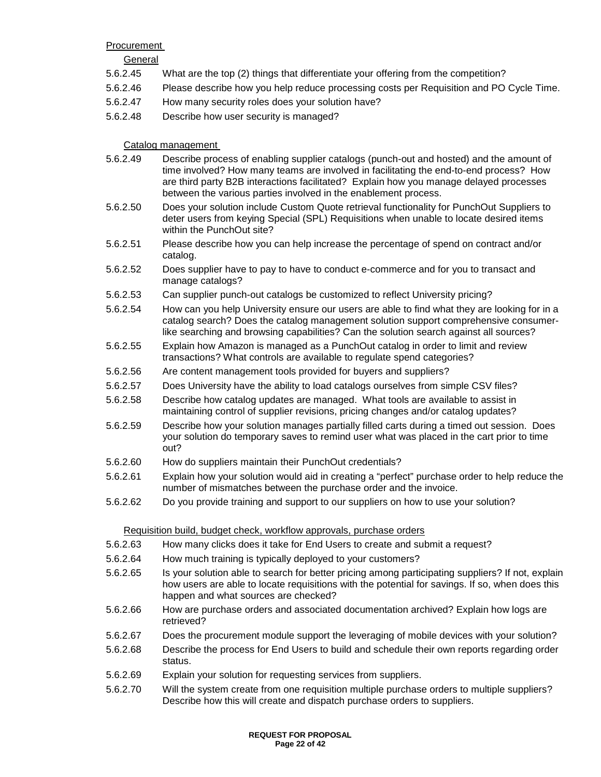#### Procurement

#### **General**

- 5.6.2.45 What are the top (2) things that differentiate your offering from the competition?
- 5.6.2.46 Please describe how you help reduce processing costs per Requisition and PO Cycle Time.
- 5.6.2.47 How many security roles does your solution have?
- 5.6.2.48 Describe how user security is managed?

Catalog management

- 5.6.2.49 Describe process of enabling supplier catalogs (punch-out and hosted) and the amount of time involved? How many teams are involved in facilitating the end-to-end process? How are third party B2B interactions facilitated? Explain how you manage delayed processes between the various parties involved in the enablement process.
- 5.6.2.50 Does your solution include Custom Quote retrieval functionality for PunchOut Suppliers to deter users from keying Special (SPL) Requisitions when unable to locate desired items within the PunchOut site?
- 5.6.2.51 Please describe how you can help increase the percentage of spend on contract and/or catalog.
- 5.6.2.52 Does supplier have to pay to have to conduct e-commerce and for you to transact and manage catalogs?
- 5.6.2.53 Can supplier punch-out catalogs be customized to reflect University pricing?
- 5.6.2.54 How can you help University ensure our users are able to find what they are looking for in a catalog search? Does the catalog management solution support comprehensive consumerlike searching and browsing capabilities? Can the solution search against all sources?
- 5.6.2.55 Explain how Amazon is managed as a PunchOut catalog in order to limit and review transactions? What controls are available to regulate spend categories?
- 5.6.2.56 Are content management tools provided for buyers and suppliers?
- 5.6.2.57 Does University have the ability to load catalogs ourselves from simple CSV files?
- 5.6.2.58 Describe how catalog updates are managed. What tools are available to assist in maintaining control of supplier revisions, pricing changes and/or catalog updates?
- 5.6.2.59 Describe how your solution manages partially filled carts during a timed out session. Does your solution do temporary saves to remind user what was placed in the cart prior to time out?
- 5.6.2.60 How do suppliers maintain their PunchOut credentials?
- 5.6.2.61 Explain how your solution would aid in creating a "perfect" purchase order to help reduce the number of mismatches between the purchase order and the invoice.
- 5.6.2.62 Do you provide training and support to our suppliers on how to use your solution?

#### Requisition build, budget check, workflow approvals, purchase orders

- 5.6.2.63 How many clicks does it take for End Users to create and submit a request?
- 5.6.2.64 How much training is typically deployed to your customers?
- 5.6.2.65 Is your solution able to search for better pricing among participating suppliers? If not, explain how users are able to locate requisitions with the potential for savings. If so, when does this happen and what sources are checked?
- 5.6.2.66 How are purchase orders and associated documentation archived? Explain how logs are retrieved?
- 5.6.2.67 Does the procurement module support the leveraging of mobile devices with your solution?
- 5.6.2.68 Describe the process for End Users to build and schedule their own reports regarding order status.
- 5.6.2.69 Explain your solution for requesting services from suppliers.
- 5.6.2.70 Will the system create from one requisition multiple purchase orders to multiple suppliers? Describe how this will create and dispatch purchase orders to suppliers.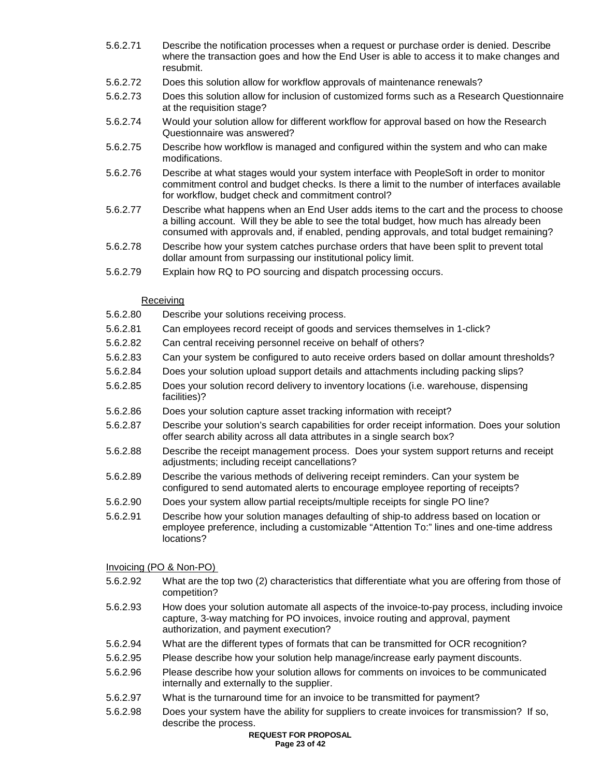- 5.6.2.71 Describe the notification processes when a request or purchase order is denied. Describe where the transaction goes and how the End User is able to access it to make changes and resubmit.
- 5.6.2.72 Does this solution allow for workflow approvals of maintenance renewals?
- 5.6.2.73 Does this solution allow for inclusion of customized forms such as a Research Questionnaire at the requisition stage?
- 5.6.2.74 Would your solution allow for different workflow for approval based on how the Research Questionnaire was answered?
- 5.6.2.75 Describe how workflow is managed and configured within the system and who can make modifications.
- 5.6.2.76 Describe at what stages would your system interface with PeopleSoft in order to monitor commitment control and budget checks. Is there a limit to the number of interfaces available for workflow, budget check and commitment control?
- 5.6.2.77 Describe what happens when an End User adds items to the cart and the process to choose a billing account. Will they be able to see the total budget, how much has already been consumed with approvals and, if enabled, pending approvals, and total budget remaining?
- 5.6.2.78 Describe how your system catches purchase orders that have been split to prevent total dollar amount from surpassing our institutional policy limit.
- 5.6.2.79 Explain how RQ to PO sourcing and dispatch processing occurs.

#### Receiving

- 5.6.2.80 Describe your solutions receiving process.
- 5.6.2.81 Can employees record receipt of goods and services themselves in 1-click?
- 5.6.2.82 Can central receiving personnel receive on behalf of others?
- 5.6.2.83 Can your system be configured to auto receive orders based on dollar amount thresholds?
- 5.6.2.84 Does your solution upload support details and attachments including packing slips?
- 5.6.2.85 Does your solution record delivery to inventory locations (i.e. warehouse, dispensing facilities)?
- 5.6.2.86 Does your solution capture asset tracking information with receipt?
- 5.6.2.87 Describe your solution's search capabilities for order receipt information. Does your solution offer search ability across all data attributes in a single search box?
- 5.6.2.88 Describe the receipt management process. Does your system support returns and receipt adjustments; including receipt cancellations?
- 5.6.2.89 Describe the various methods of delivering receipt reminders. Can your system be configured to send automated alerts to encourage employee reporting of receipts?
- 5.6.2.90 Does your system allow partial receipts/multiple receipts for single PO line?
- 5.6.2.91 Describe how your solution manages defaulting of ship-to address based on location or employee preference, including a customizable "Attention To:" lines and one-time address locations?

#### Invoicing (PO & Non-PO)

- 5.6.2.92 What are the top two (2) characteristics that differentiate what you are offering from those of competition?
- 5.6.2.93 How does your solution automate all aspects of the invoice-to-pay process, including invoice capture, 3-way matching for PO invoices, invoice routing and approval, payment authorization, and payment execution?
- 5.6.2.94 What are the different types of formats that can be transmitted for OCR recognition?
- 5.6.2.95 Please describe how your solution help manage/increase early payment discounts.
- 5.6.2.96 Please describe how your solution allows for comments on invoices to be communicated internally and externally to the supplier.
- 5.6.2.97 What is the turnaround time for an invoice to be transmitted for payment?
- 5.6.2.98 Does your system have the ability for suppliers to create invoices for transmission? If so, describe the process.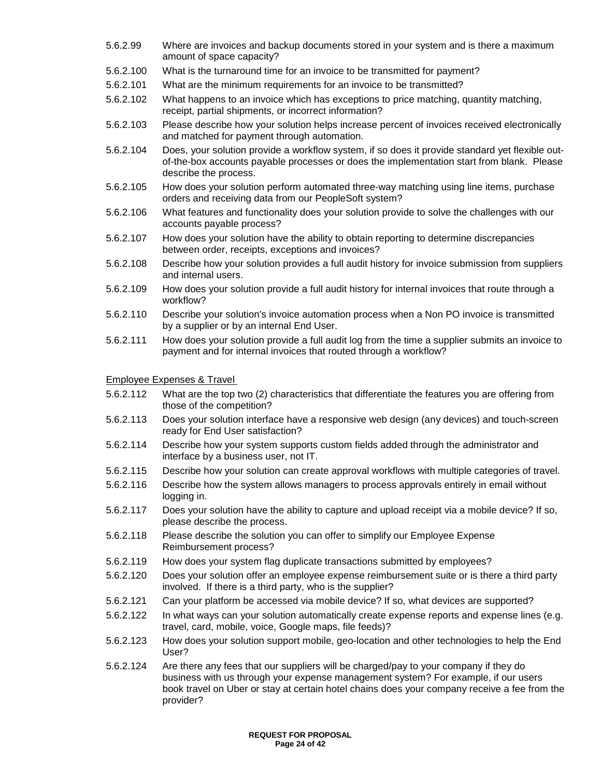- 5.6.2.99 Where are invoices and backup documents stored in your system and is there a maximum amount of space capacity?
- 5.6.2.100 What is the turnaround time for an invoice to be transmitted for payment?
- 5.6.2.101 What are the minimum requirements for an invoice to be transmitted?
- 5.6.2.102 What happens to an invoice which has exceptions to price matching, quantity matching, receipt, partial shipments, or incorrect information?
- 5.6.2.103 Please describe how your solution helps increase percent of invoices received electronically and matched for payment through automation.
- 5.6.2.104 Does, your solution provide a workflow system, if so does it provide standard yet flexible outof-the-box accounts payable processes or does the implementation start from blank. Please describe the process.
- 5.6.2.105 How does your solution perform automated three-way matching using line items, purchase orders and receiving data from our PeopleSoft system?
- 5.6.2.106 What features and functionality does your solution provide to solve the challenges with our accounts payable process?
- 5.6.2.107 How does your solution have the ability to obtain reporting to determine discrepancies between order, receipts, exceptions and invoices?
- 5.6.2.108 Describe how your solution provides a full audit history for invoice submission from suppliers and internal users.
- 5.6.2.109 How does your solution provide a full audit history for internal invoices that route through a workflow?
- 5.6.2.110 Describe your solution's invoice automation process when a Non PO invoice is transmitted by a supplier or by an internal End User.
- 5.6.2.111 How does your solution provide a full audit log from the time a supplier submits an invoice to payment and for internal invoices that routed through a workflow?

#### Employee Expenses & Travel

- 5.6.2.112 What are the top two (2) characteristics that differentiate the features you are offering from those of the competition?
- 5.6.2.113 Does your solution interface have a responsive web design (any devices) and touch-screen ready for End User satisfaction?
- 5.6.2.114 Describe how your system supports custom fields added through the administrator and interface by a business user, not IT.
- 5.6.2.115 Describe how your solution can create approval workflows with multiple categories of travel.
- 5.6.2.116 Describe how the system allows managers to process approvals entirely in email without logging in.
- 5.6.2.117 Does your solution have the ability to capture and upload receipt via a mobile device? If so, please describe the process.
- 5.6.2.118 Please describe the solution you can offer to simplify our Employee Expense Reimbursement process?
- 5.6.2.119 How does your system flag duplicate transactions submitted by employees?
- 5.6.2.120 Does your solution offer an employee expense reimbursement suite or is there a third party involved. If there is a third party, who is the supplier?
- 5.6.2.121 Can your platform be accessed via mobile device? If so, what devices are supported?
- 5.6.2.122 In what ways can your solution automatically create expense reports and expense lines (e.g. travel, card, mobile, voice, Google maps, file feeds)?
- 5.6.2.123 How does your solution support mobile, geo-location and other technologies to help the End User?
- 5.6.2.124 Are there any fees that our suppliers will be charged/pay to your company if they do business with us through your expense management system? For example, if our users book travel on Uber or stay at certain hotel chains does your company receive a fee from the provider?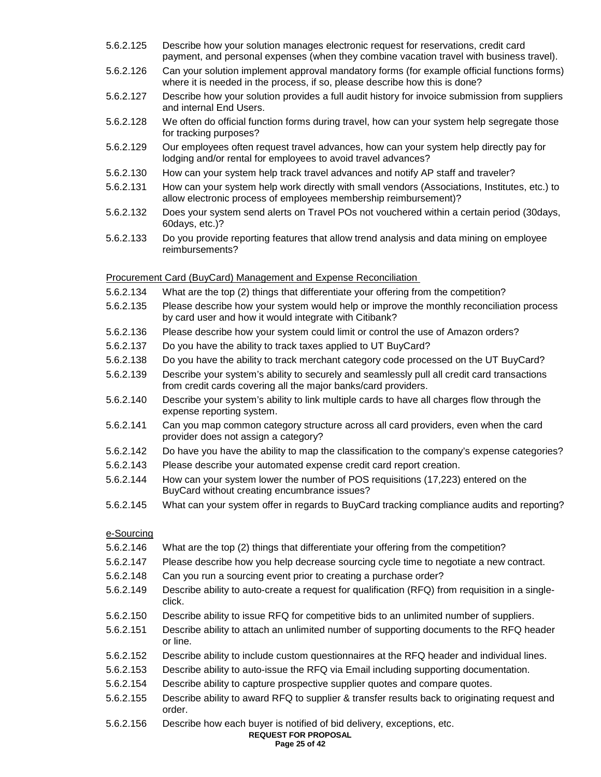- 5.6.2.125 Describe how your solution manages electronic request for reservations, credit card payment, and personal expenses (when they combine vacation travel with business travel).
- 5.6.2.126 Can your solution implement approval mandatory forms (for example official functions forms) where it is needed in the process, if so, please describe how this is done?
- 5.6.2.127 Describe how your solution provides a full audit history for invoice submission from suppliers and internal End Users.
- 5.6.2.128 We often do official function forms during travel, how can your system help segregate those for tracking purposes?
- 5.6.2.129 Our employees often request travel advances, how can your system help directly pay for lodging and/or rental for employees to avoid travel advances?
- 5.6.2.130 How can your system help track travel advances and notify AP staff and traveler?
- 5.6.2.131 How can your system help work directly with small vendors (Associations, Institutes, etc.) to allow electronic process of employees membership reimbursement)?
- 5.6.2.132 Does your system send alerts on Travel POs not vouchered within a certain period (30days, 60days, etc.)?
- 5.6.2.133 Do you provide reporting features that allow trend analysis and data mining on employee reimbursements?

#### Procurement Card (BuyCard) Management and Expense Reconciliation

- 5.6.2.134 What are the top (2) things that differentiate your offering from the competition?
- 5.6.2.135 Please describe how your system would help or improve the monthly reconciliation process by card user and how it would integrate with Citibank?
- 5.6.2.136 Please describe how your system could limit or control the use of Amazon orders?
- 5.6.2.137 Do you have the ability to track taxes applied to UT BuyCard?
- 5.6.2.138 Do you have the ability to track merchant category code processed on the UT BuyCard?
- 5.6.2.139 Describe your system's ability to securely and seamlessly pull all credit card transactions from credit cards covering all the major banks/card providers.
- 5.6.2.140 Describe your system's ability to link multiple cards to have all charges flow through the expense reporting system.
- 5.6.2.141 Can you map common category structure across all card providers, even when the card provider does not assign a category?
- 5.6.2.142 Do have you have the ability to map the classification to the company's expense categories?
- 5.6.2.143 Please describe your automated expense credit card report creation.
- 5.6.2.144 How can your system lower the number of POS requisitions (17,223) entered on the BuyCard without creating encumbrance issues?
- 5.6.2.145 What can your system offer in regards to BuyCard tracking compliance audits and reporting?

#### e-Sourcing

- 5.6.2.146 What are the top (2) things that differentiate your offering from the competition?
- 5.6.2.147 Please describe how you help decrease sourcing cycle time to negotiate a new contract.
- 5.6.2.148 Can you run a sourcing event prior to creating a purchase order?
- 5.6.2.149 Describe ability to auto-create a request for qualification (RFQ) from requisition in a singleclick.
- 5.6.2.150 Describe ability to issue RFQ for competitive bids to an unlimited number of suppliers.
- 5.6.2.151 Describe ability to attach an unlimited number of supporting documents to the RFQ header or line.
- 5.6.2.152 Describe ability to include custom questionnaires at the RFQ header and individual lines.
- 5.6.2.153 Describe ability to auto-issue the RFQ via Email including supporting documentation.
- 5.6.2.154 Describe ability to capture prospective supplier quotes and compare quotes.
- 5.6.2.155 Describe ability to award RFQ to supplier & transfer results back to originating request and order.
- 5.6.2.156 Describe how each buyer is notified of bid delivery, exceptions, etc.

#### **REQUEST FOR PROPOSAL**

#### **Page 25 of 42**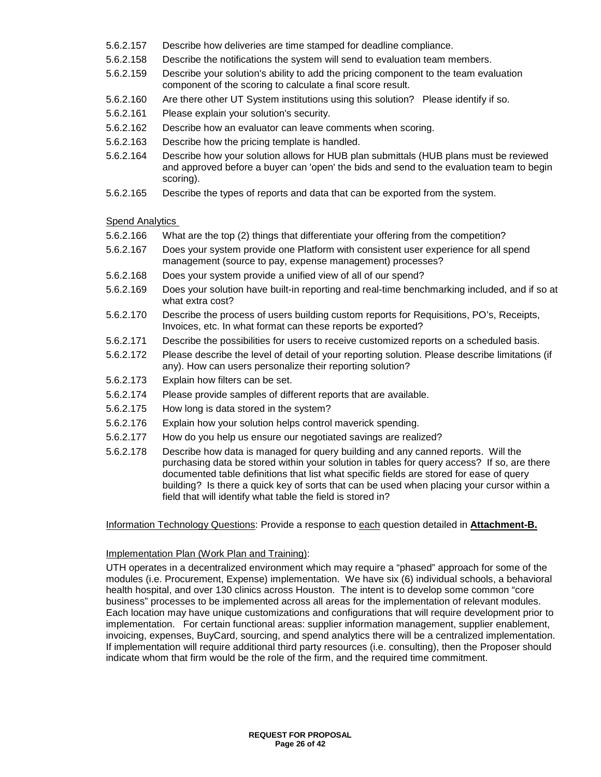- 5.6.2.157 Describe how deliveries are time stamped for deadline compliance.
- 5.6.2.158 Describe the notifications the system will send to evaluation team members.
- 5.6.2.159 Describe your solution's ability to add the pricing component to the team evaluation component of the scoring to calculate a final score result.
- 5.6.2.160 Are there other UT System institutions using this solution? Please identify if so.
- 5.6.2.161 Please explain your solution's security.
- 5.6.2.162 Describe how an evaluator can leave comments when scoring.
- 5.6.2.163 Describe how the pricing template is handled.
- 5.6.2.164 Describe how your solution allows for HUB plan submittals (HUB plans must be reviewed and approved before a buyer can 'open' the bids and send to the evaluation team to begin scoring).
- 5.6.2.165 Describe the types of reports and data that can be exported from the system.

#### Spend Analytics

- 5.6.2.166 What are the top (2) things that differentiate your offering from the competition?
- 5.6.2.167 Does your system provide one Platform with consistent user experience for all spend management (source to pay, expense management) processes?
- 5.6.2.168 Does your system provide a unified view of all of our spend?
- 5.6.2.169 Does your solution have built-in reporting and real-time benchmarking included, and if so at what extra cost?
- 5.6.2.170 Describe the process of users building custom reports for Requisitions, PO's, Receipts, Invoices, etc. In what format can these reports be exported?
- 5.6.2.171 Describe the possibilities for users to receive customized reports on a scheduled basis.
- 5.6.2.172 Please describe the level of detail of your reporting solution. Please describe limitations (if any). How can users personalize their reporting solution?
- 5.6.2.173 Explain how filters can be set.
- 5.6.2.174 Please provide samples of different reports that are available.
- 5.6.2.175 How long is data stored in the system?
- 5.6.2.176 Explain how your solution helps control maverick spending.
- 5.6.2.177 How do you help us ensure our negotiated savings are realized?
- 5.6.2.178 Describe how data is managed for query building and any canned reports. Will the purchasing data be stored within your solution in tables for query access? If so, are there documented table definitions that list what specific fields are stored for ease of query building? Is there a quick key of sorts that can be used when placing your cursor within a field that will identify what table the field is stored in?

Information Technology Questions: Provide a response to each question detailed in **Attachment-B.**

## Implementation Plan (Work Plan and Training):

UTH operates in a decentralized environment which may require a "phased" approach for some of the modules (i.e. Procurement, Expense) implementation. We have six (6) individual schools, a behavioral health hospital, and over 130 clinics across Houston. The intent is to develop some common "core business" processes to be implemented across all areas for the implementation of relevant modules. Each location may have unique customizations and configurations that will require development prior to implementation. For certain functional areas: supplier information management, supplier enablement, invoicing, expenses, BuyCard, sourcing, and spend analytics there will be a centralized implementation. If implementation will require additional third party resources (i.e. consulting), then the Proposer should indicate whom that firm would be the role of the firm, and the required time commitment.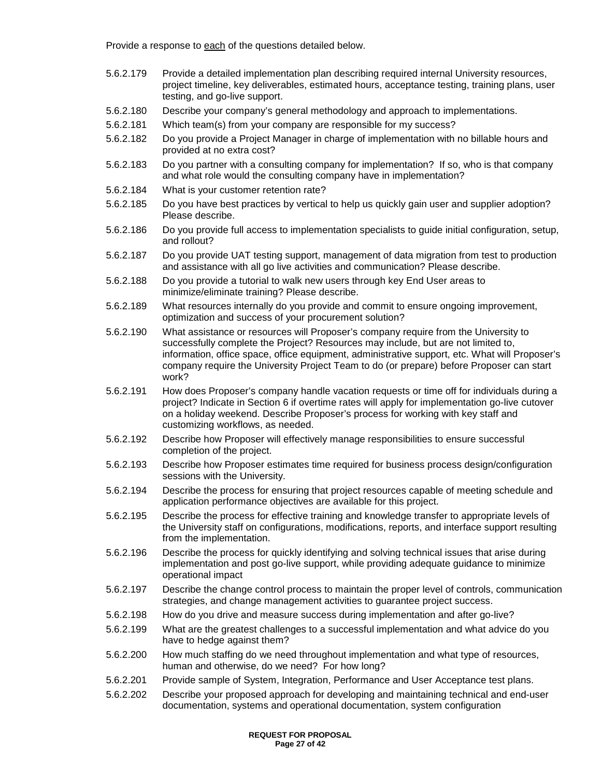Provide a response to each of the questions detailed below.

- 5.6.2.179 Provide a detailed implementation plan describing required internal University resources, project timeline, key deliverables, estimated hours, acceptance testing, training plans, user testing, and go-live support.
- 5.6.2.180 Describe your company's general methodology and approach to implementations.
- 5.6.2.181 Which team(s) from your company are responsible for my success?
- 5.6.2.182 Do you provide a Project Manager in charge of implementation with no billable hours and provided at no extra cost?
- 5.6.2.183 Do you partner with a consulting company for implementation? If so, who is that company and what role would the consulting company have in implementation?
- 5.6.2.184 What is your customer retention rate?
- 5.6.2.185 Do you have best practices by vertical to help us quickly gain user and supplier adoption? Please describe.
- 5.6.2.186 Do you provide full access to implementation specialists to guide initial configuration, setup, and rollout?
- 5.6.2.187 Do you provide UAT testing support, management of data migration from test to production and assistance with all go live activities and communication? Please describe.
- 5.6.2.188 Do you provide a tutorial to walk new users through key End User areas to minimize/eliminate training? Please describe.
- 5.6.2.189 What resources internally do you provide and commit to ensure ongoing improvement, optimization and success of your procurement solution?
- 5.6.2.190 What assistance or resources will Proposer's company require from the University to successfully complete the Project? Resources may include, but are not limited to, information, office space, office equipment, administrative support, etc. What will Proposer's company require the University Project Team to do (or prepare) before Proposer can start work?
- 5.6.2.191 How does Proposer's company handle vacation requests or time off for individuals during a project? Indicate in Section 6 if overtime rates will apply for implementation go-live cutover on a holiday weekend. Describe Proposer's process for working with key staff and customizing workflows, as needed.
- 5.6.2.192 Describe how Proposer will effectively manage responsibilities to ensure successful completion of the project.
- 5.6.2.193 Describe how Proposer estimates time required for business process design/configuration sessions with the University.
- 5.6.2.194 Describe the process for ensuring that project resources capable of meeting schedule and application performance objectives are available for this project.
- 5.6.2.195 Describe the process for effective training and knowledge transfer to appropriate levels of the University staff on configurations, modifications, reports, and interface support resulting from the implementation.
- 5.6.2.196 Describe the process for quickly identifying and solving technical issues that arise during implementation and post go-live support, while providing adequate guidance to minimize operational impact
- 5.6.2.197 Describe the change control process to maintain the proper level of controls, communication strategies, and change management activities to guarantee project success.
- 5.6.2.198 How do you drive and measure success during implementation and after go-live?
- 5.6.2.199 What are the greatest challenges to a successful implementation and what advice do you have to hedge against them?
- 5.6.2.200 How much staffing do we need throughout implementation and what type of resources, human and otherwise, do we need? For how long?
- 5.6.2.201 Provide sample of System, Integration, Performance and User Acceptance test plans.
- 5.6.2.202 Describe your proposed approach for developing and maintaining technical and end-user documentation, systems and operational documentation, system configuration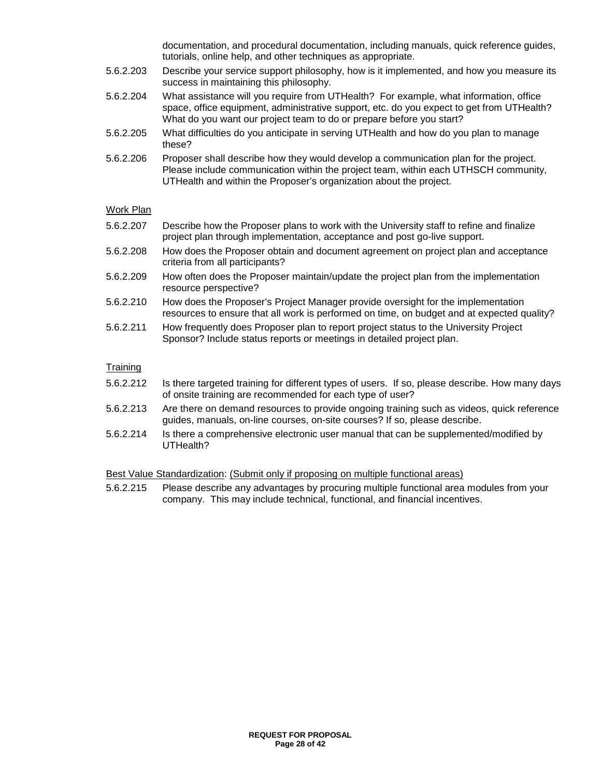documentation, and procedural documentation, including manuals, quick reference guides, tutorials, online help, and other techniques as appropriate.

- 5.6.2.203 Describe your service support philosophy, how is it implemented, and how you measure its success in maintaining this philosophy.
- 5.6.2.204 What assistance will you require from UTHealth? For example, what information, office space, office equipment, administrative support, etc. do you expect to get from UTHealth? What do you want our project team to do or prepare before you start?
- 5.6.2.205 What difficulties do you anticipate in serving UTHealth and how do you plan to manage these?
- 5.6.2.206 Proposer shall describe how they would develop a communication plan for the project. Please include communication within the project team, within each UTHSCH community, UTHealth and within the Proposer's organization about the project.

#### Work Plan

- 5.6.2.207 Describe how the Proposer plans to work with the University staff to refine and finalize project plan through implementation, acceptance and post go-live support.
- 5.6.2.208 How does the Proposer obtain and document agreement on project plan and acceptance criteria from all participants?
- 5.6.2.209 How often does the Proposer maintain/update the project plan from the implementation resource perspective?
- 5.6.2.210 How does the Proposer's Project Manager provide oversight for the implementation resources to ensure that all work is performed on time, on budget and at expected quality?
- 5.6.2.211 How frequently does Proposer plan to report project status to the University Project Sponsor? Include status reports or meetings in detailed project plan.

#### **Training**

- 5.6.2.212 Is there targeted training for different types of users. If so, please describe. How many days of onsite training are recommended for each type of user?
- 5.6.2.213 Are there on demand resources to provide ongoing training such as videos, quick reference guides, manuals, on-line courses, on-site courses? If so, please describe.
- 5.6.2.214 Is there a comprehensive electronic user manual that can be supplemented/modified by UTHealth?

#### Best Value Standardization: (Submit only if proposing on multiple functional areas)

5.6.2.215 Please describe any advantages by procuring multiple functional area modules from your company. This may include technical, functional, and financial incentives.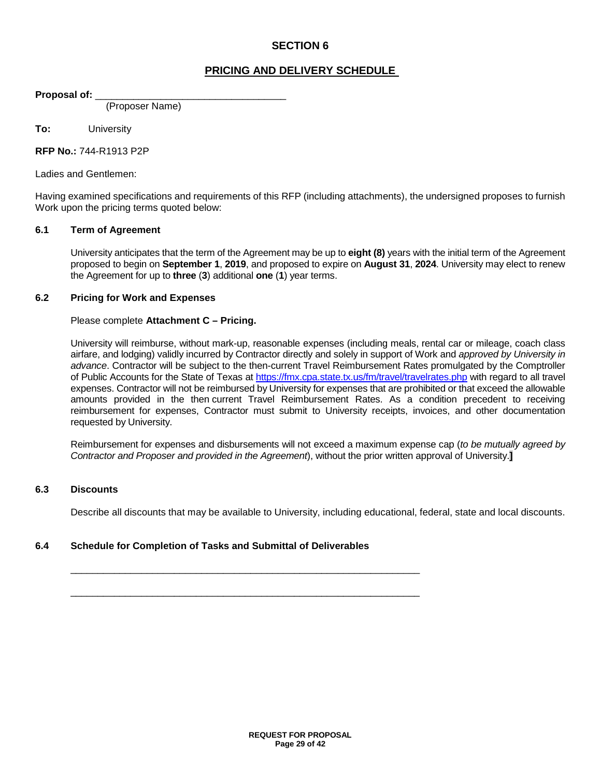## **PRICING AND DELIVERY SCHEDULE**

**Proposal of:** \_\_\_\_\_\_\_\_\_\_\_\_\_\_\_\_\_\_\_\_\_\_\_\_\_\_\_\_\_\_\_\_\_\_\_

(Proposer Name)

**To:** University

**RFP No.:** 744-R1913 P2P

Ladies and Gentlemen:

Having examined specifications and requirements of this RFP (including attachments), the undersigned proposes to furnish Work upon the pricing terms quoted below:

#### **6.1 Term of Agreement**

University anticipates that the term of the Agreement may be up to **eight (8)** years with the initial term of the Agreement proposed to begin on **September 1**, **2019**, and proposed to expire on **August 31**, **2024**. University may elect to renew the Agreement for up to **three** (**3**) additional **one** (**1**) year terms.

#### **6.2 Pricing for Work and Expenses**

#### Please complete **Attachment C – Pricing.**

University will reimburse, without mark-up, reasonable expenses (including meals, rental car or mileage, coach class airfare, and lodging) validly incurred by Contractor directly and solely in support of Work and *approved by University in advance*. Contractor will be subject to the then-current Travel Reimbursement Rates promulgated by the Comptroller of Public Accounts for the State of Texas a[t https://fmx.cpa.state.tx.us/fm/travel/travelrates.php](https://fmx.cpa.state.tx.us/fm/travel/travelrates.php) with regard to all travel expenses. Contractor will not be reimbursed by University for expenses that are prohibited or that exceed the allowable amounts provided in the then current Travel Reimbursement Rates. As a condition precedent to receiving reimbursement for expenses, Contractor must submit to University receipts, invoices, and other documentation requested by University.

Reimbursement for expenses and disbursements will not exceed a maximum expense cap (*to be mutually agreed by Contractor and Proposer and provided in the Agreement*), without the prior written approval of University.**]**

#### **6.3 Discounts**

Describe all discounts that may be available to University, including educational, federal, state and local discounts.

#### **6.4 Schedule for Completion of Tasks and Submittal of Deliverables**

\_\_\_\_\_\_\_\_\_\_\_\_\_\_\_\_\_\_\_\_\_\_\_\_\_\_\_\_\_\_\_\_\_\_\_\_\_\_\_\_\_\_\_\_\_\_\_\_\_\_\_\_\_\_\_\_\_\_\_\_\_\_\_\_

\_\_\_\_\_\_\_\_\_\_\_\_\_\_\_\_\_\_\_\_\_\_\_\_\_\_\_\_\_\_\_\_\_\_\_\_\_\_\_\_\_\_\_\_\_\_\_\_\_\_\_\_\_\_\_\_\_\_\_\_\_\_\_\_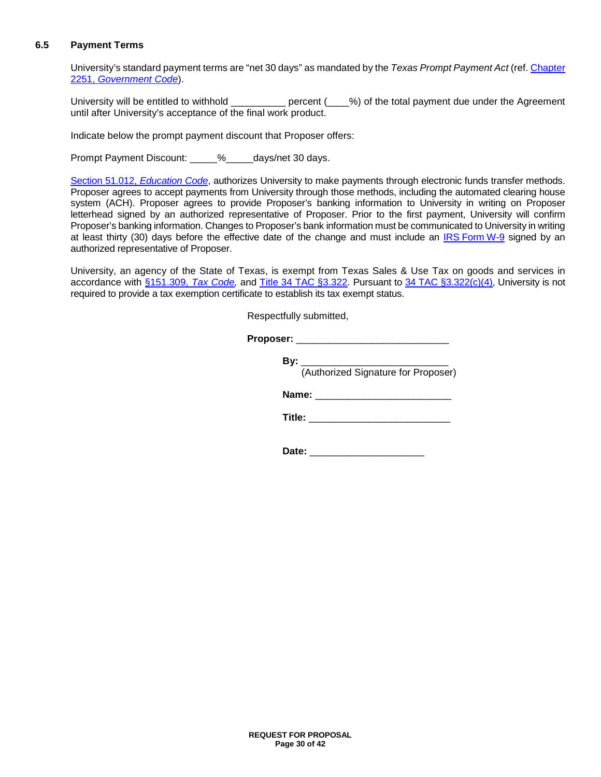#### **6.5 Payment Terms**

University's standard payment terms are "net 30 days" as mandated by the *Texas Prompt Payment Act* (ref[. Chapter](http://www.statutes.legis.state.tx.us/Docs/GV/htm/GV.2251.htm)  2251, *[Government Code](http://www.statutes.legis.state.tx.us/Docs/GV/htm/GV.2251.htm)*).

University will be entitled to withhold \_\_\_\_\_\_\_\_\_\_ percent (\_\_\_\_%) of the total payment due under the Agreement until after University's acceptance of the final work product.

Indicate below the prompt payment discount that Proposer offers:

Prompt Payment Discount: \_\_\_\_\_%\_\_\_\_\_days/net 30 days.

[Section 51.012,](http://www.statutes.legis.state.tx.us/Docs/ED/htm/ED.51.htm#51.012) *Education Code*, authorizes University to make payments through electronic funds transfer methods. Proposer agrees to accept payments from University through those methods, including the automated clearing house system (ACH). Proposer agrees to provide Proposer's banking information to University in writing on Proposer letterhead signed by an authorized representative of Proposer. Prior to the first payment, University will confirm Proposer's banking information. Changes to Proposer's bank information must be communicated to University in writing at least thirty (30) days before the effective date of the change and must include an IRS [Form](https://www.irs.gov/uac/about-form-w9) W-9 signed by an authorized representative of Proposer.

University, an agency of the State of Texas, is exempt from Texas Sales & Use Tax on goods and services in accordance with [§151.309,](http://www.statutes.legis.state.tx.us/Docs/TX/htm/TX.151.htm#151.309) *Tax Code,* and [Title 34 TAC](http://texreg.sos.state.tx.us/public/readtac$ext.TacPage?sl=R&app=9&p_dir=&p_rloc=&p_tloc=&p_ploc=&pg=1&p_tac=&ti=34&pt=1&ch=3&rl=322) §3.322. Pursuant to [34 TAC §3.322\(c\)\(4\),](http://texreg.sos.state.tx.us/public/readtac$ext.TacPage?sl=R&app=9&p_dir=&p_rloc=&p_tloc=&p_ploc=&pg=1&p_tac=&ti=34&pt=1&ch=3&rl=322) University is not required to provide a tax exemption certificate to establish its tax exempt status.

Respectfully submitted,

**Proposer:** \_\_\_\_\_\_\_\_\_\_\_\_\_\_\_\_\_\_\_\_\_\_\_\_\_\_\_\_

| Bv: |                                     |
|-----|-------------------------------------|
|     | (Authorized Signature for Proposer) |
|     | Name:                               |

**Title:** \_\_\_\_\_\_\_\_\_\_\_\_\_\_\_\_\_\_\_\_\_\_\_\_\_\_

Date: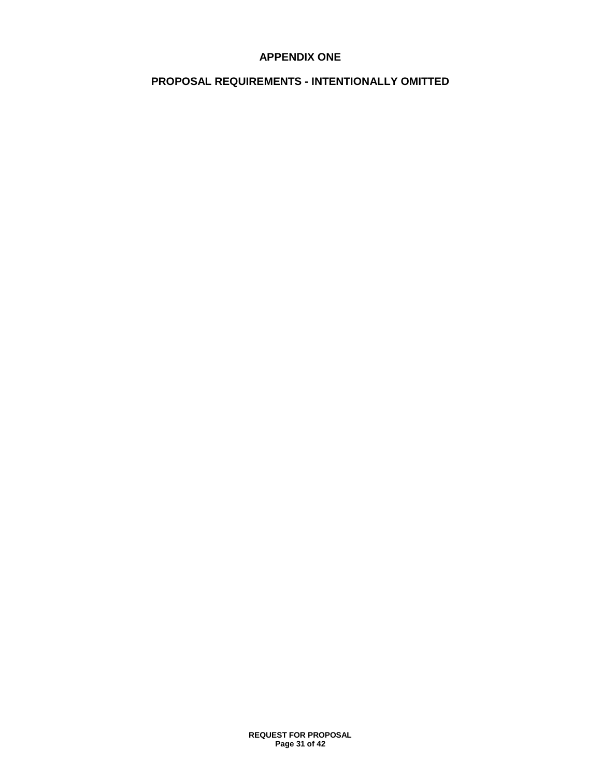## **APPENDIX ONE**

## **PROPOSAL REQUIREMENTS - INTENTIONALLY OMITTED**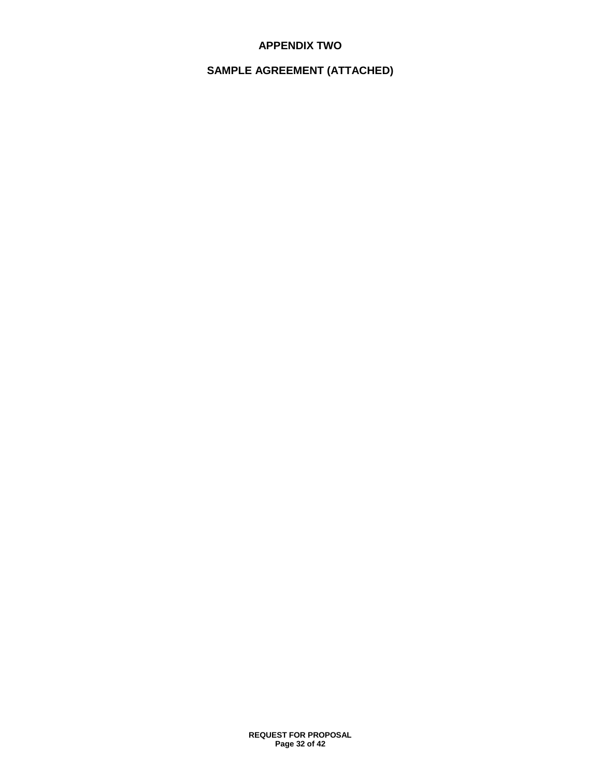## **APPENDIX TWO**

## **SAMPLE AGREEMENT (ATTACHED)**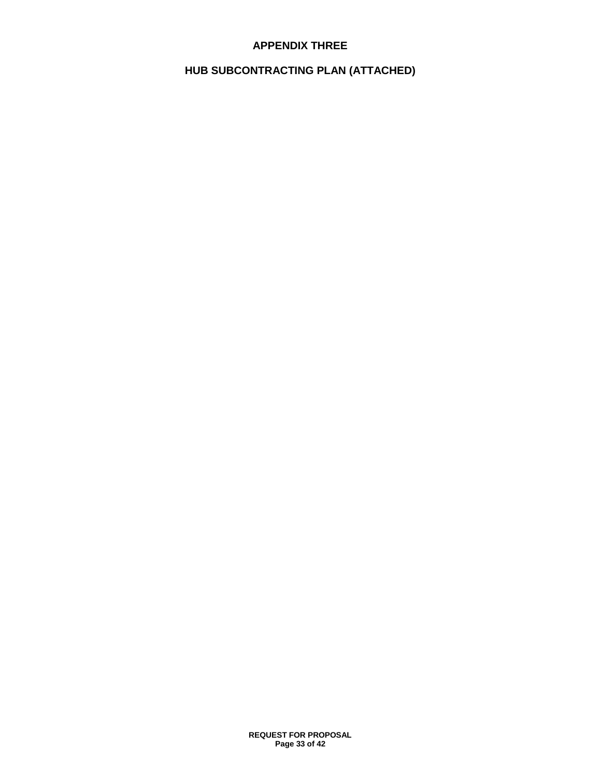## **APPENDIX THREE**

## **HUB SUBCONTRACTING PLAN (ATTACHED)**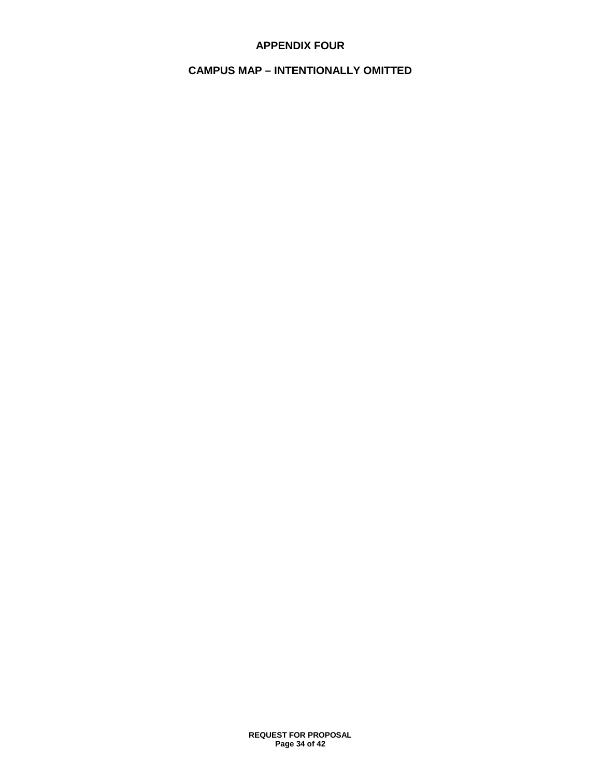## **APPENDIX FOUR**

## **CAMPUS MAP – INTENTIONALLY OMITTED**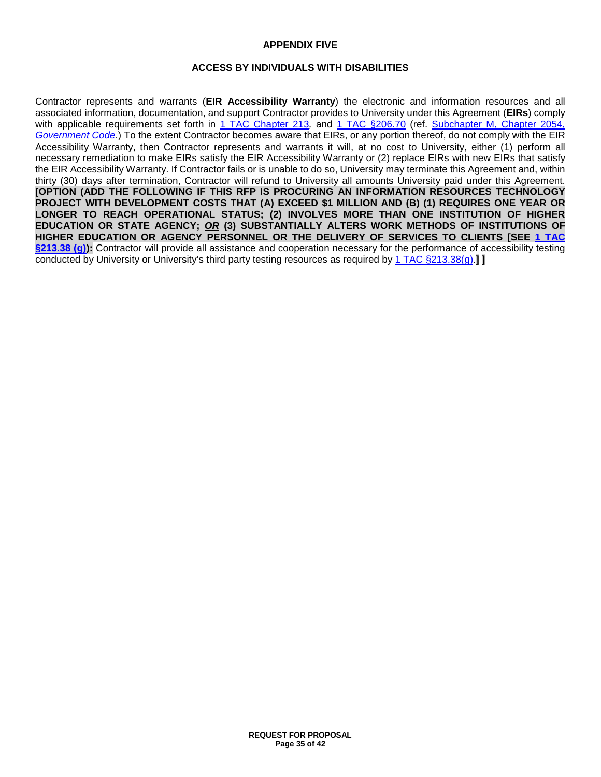#### **APPENDIX FIVE**

#### **ACCESS BY INDIVIDUALS WITH DISABILITIES**

Contractor represents and warrants (**EIR Accessibility Warranty**) the electronic and information resources and all associated information, documentation, and support Contractor provides to University under this Agreement (**EIRs**) comply with applicable requirements set forth in 1 TAC [Chapter 213](http://texreg.sos.state.tx.us/public/readtac$ext.ViewTAC?tac_view=4&ti=1&pt=10&ch=213), and 1 TAC [§206.70](http://texreg.sos.state.tx.us/public/readtac$ext.TacPage?sl=R&app=9&p_dir=&p_rloc=&p_tloc=&p_ploc=&pg=1&p_tac=&ti=1&pt=10&ch=206&rl=70) (ref. [Subchapter M, Chapter 2054,](http://www.statutes.legis.state.tx.us/Docs/GV/htm/GV.2054.htm#M) *[Government Code](http://www.statutes.legis.state.tx.us/Docs/GV/htm/GV.2054.htm#M)*.) To the extent Contractor becomes aware that EIRs, or any portion thereof, do not comply with the EIR Accessibility Warranty, then Contractor represents and warrants it will, at no cost to University, either (1) perform all necessary remediation to make EIRs satisfy the EIR Accessibility Warranty or (2) replace EIRs with new EIRs that satisfy the EIR Accessibility Warranty. If Contractor fails or is unable to do so, University may terminate this Agreement and, within thirty (30) days after termination, Contractor will refund to University all amounts University paid under this Agreement. **[OPTION (ADD THE FOLLOWING IF THIS RFP IS PROCURING AN INFORMATION RESOURCES TECHNOLOGY PROJECT WITH DEVELOPMENT COSTS THAT (A) EXCEED \$1 MILLION AND (B) (1) REQUIRES ONE YEAR OR LONGER TO REACH OPERATIONAL STATUS; (2) INVOLVES MORE THAN ONE INSTITUTION OF HIGHER EDUCATION OR STATE AGENCY;** *OR* **(3) SUBSTANTIALLY ALTERS WORK METHODS OF INSTITUTIONS OF HIGHER EDUCATION OR AGENCY PERSONNEL OR THE DELIVERY OF SERVICES TO CLIENTS [SEE 1 [TAC](http://texreg.sos.state.tx.us/public/readtac$ext.TacPage?sl=R&app=9&p_dir=&p_rloc=&p_tloc=&p_ploc=&pg=1&p_tac=&ti=1&pt=10&ch=213&rl=38) [§213.38 \(g\)\)](http://texreg.sos.state.tx.us/public/readtac$ext.TacPage?sl=R&app=9&p_dir=&p_rloc=&p_tloc=&p_ploc=&pg=1&p_tac=&ti=1&pt=10&ch=213&rl=38):** Contractor will provide all assistance and cooperation necessary for the performance of accessibility testing conducted by University or University's third party testing resources as required by 1 [TAC §213.38\(g\).](http://texreg.sos.state.tx.us/public/readtac$ext.TacPage?sl=R&app=9&p_dir=&p_rloc=&p_tloc=&p_ploc=&pg=1&p_tac=&ti=1&pt=10&ch=213&rl=38)**] ]**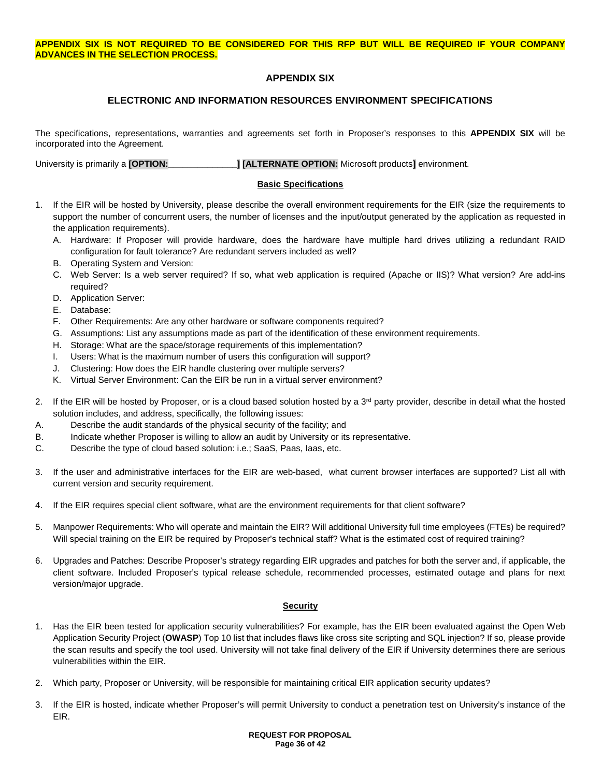## **APPENDIX SIX**

## **ELECTRONIC AND INFORMATION RESOURCES ENVIRONMENT SPECIFICATIONS**

The specifications, representations, warranties and agreements set forth in Proposer's responses to this **APPENDIX SIX** will be incorporated into the Agreement.

University is primarily a **[OPTION:\_\_\_\_\_\_\_\_\_\_\_\_\_\_] [ALTERNATE OPTION:** Microsoft products**]** environment.

#### **Basic Specifications**

- 1. If the EIR will be hosted by University, please describe the overall environment requirements for the EIR (size the requirements to support the number of concurrent users, the number of licenses and the input/output generated by the application as requested in the application requirements).
	- A. Hardware: If Proposer will provide hardware, does the hardware have multiple hard drives utilizing a redundant RAID configuration for fault tolerance? Are redundant servers included as well?
	- B. Operating System and Version:
	- C. Web Server: Is a web server required? If so, what web application is required (Apache or IIS)? What version? Are add-ins required?
	- D. Application Server:
	- E. Database:
	- F. Other Requirements: Are any other hardware or software components required?
	- G. Assumptions: List any assumptions made as part of the identification of these environment requirements.
	- H. Storage: What are the space/storage requirements of this implementation?
	- I. Users: What is the maximum number of users this configuration will support?
	- J. Clustering: How does the EIR handle clustering over multiple servers?
	- K. Virtual Server Environment: Can the EIR be run in a virtual server environment?
- 2. If the EIR will be hosted by Proposer, or is a cloud based solution hosted by a  $3<sup>rd</sup>$  party provider, describe in detail what the hosted solution includes, and address, specifically, the following issues:
- A. Describe the audit standards of the physical security of the facility; and
- B. Indicate whether Proposer is willing to allow an audit by University or its representative.
- C. Describe the type of cloud based solution: i.e.; SaaS, Paas, Iaas, etc.
- 3. If the user and administrative interfaces for the EIR are web-based, what current browser interfaces are supported? List all with current version and security requirement.
- 4. If the EIR requires special client software, what are the environment requirements for that client software?
- 5. Manpower Requirements: Who will operate and maintain the EIR? Will additional University full time employees (FTEs) be required? Will special training on the EIR be required by Proposer's technical staff? What is the estimated cost of required training?
- 6. Upgrades and Patches: Describe Proposer's strategy regarding EIR upgrades and patches for both the server and, if applicable, the client software. Included Proposer's typical release schedule, recommended processes, estimated outage and plans for next version/major upgrade.

#### **Security**

- 1. Has the EIR been tested for application security vulnerabilities? For example, has the EIR been evaluated against the Open Web Application Security Project (**OWASP**) Top 10 list that includes flaws like cross site scripting and SQL injection? If so, please provide the scan results and specify the tool used. University will not take final delivery of the EIR if University determines there are serious vulnerabilities within the EIR.
- 2. Which party, Proposer or University, will be responsible for maintaining critical EIR application security updates?
- 3. If the EIR is hosted, indicate whether Proposer's will permit University to conduct a penetration test on University's instance of the EIR.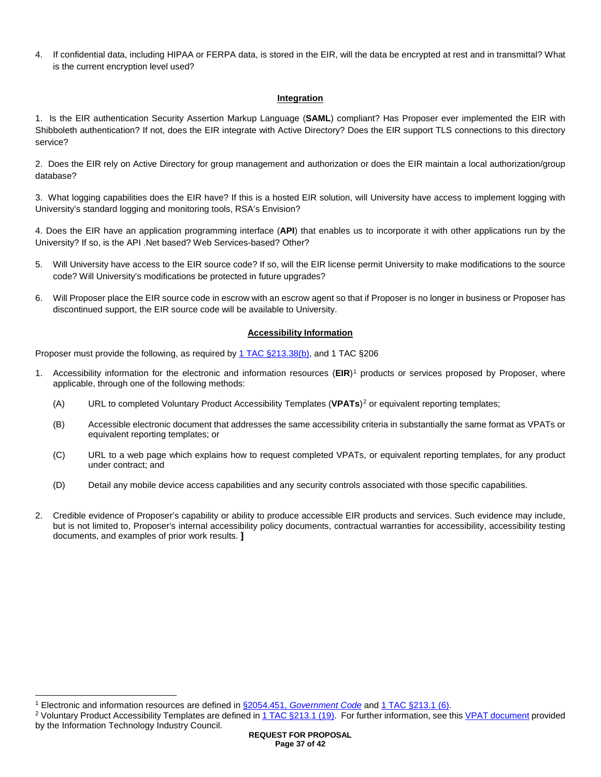4. If confidential data, including HIPAA or FERPA data, is stored in the EIR, will the data be encrypted at rest and in transmittal? What is the current encryption level used?

#### **Integration**

1. Is the EIR authentication Security Assertion Markup Language (**SAML**) compliant? Has Proposer ever implemented the EIR with Shibboleth authentication? If not, does the EIR integrate with Active Directory? Does the EIR support TLS connections to this directory service?

2. Does the EIR rely on Active Directory for group management and authorization or does the EIR maintain a local authorization/group database?

3. What logging capabilities does the EIR have? If this is a hosted EIR solution, will University have access to implement logging with University's standard logging and monitoring tools, RSA's Envision?

4. Does the EIR have an application programming interface (**API**) that enables us to incorporate it with other applications run by the University? If so, is the API .Net based? Web Services-based? Other?

- 5. Will University have access to the EIR source code? If so, will the EIR license permit University to make modifications to the source code? Will University's modifications be protected in future upgrades?
- 6. Will Proposer place the EIR source code in escrow with an escrow agent so that if Proposer is no longer in business or Proposer has discontinued support, the EIR source code will be available to University.

#### **Accessibility Information**

Proposer must provide the following, as required by 1 TAC [§213.38\(b\),](http://texreg.sos.state.tx.us/public/readtac$ext.TacPage?sl=R&app=9&p_dir=&p_rloc=&p_tloc=&p_ploc=&pg=1&p_tac=&ti=1&pt=10&ch=213&rl=38) and 1 TAC §206

- 1. Accessibility information for the electronic and information resources (**EIR**)[1](#page-36-0) products or services proposed by Proposer, where applicable, through one of the following methods:
	- (A) URL to completed Voluntary Product Accessibility Templates (**VPATs**)[2](#page-36-1) or equivalent reporting templates;
	- (B) Accessible electronic document that addresses the same accessibility criteria in substantially the same format as VPATs or equivalent reporting templates; or
	- (C) URL to a web page which explains how to request completed VPATs, or equivalent reporting templates, for any product under contract; and
	- (D) Detail any mobile device access capabilities and any security controls associated with those specific capabilities.
- 2. Credible evidence of Proposer's capability or ability to produce accessible EIR products and services. Such evidence may include, but is not limited to, Proposer's internal accessibility policy documents, contractual warranties for accessibility, accessibility testing documents, and examples of prior work results. **]**

<span id="page-36-0"></span> <sup>1</sup> Electronic and information resources are defined in §2054.451, *[Government Code](http://www.statutes.legis.state.tx.us/Docs/GV/htm/GV.2054.htm#2054.451)* an[d 1 TAC §213.1 \(6\).](http://texreg.sos.state.tx.us/public/readtac$ext.TacPage?sl=R&app=9&p_dir=&p_rloc=&p_tloc=&p_ploc=&pg=1&p_tac=&ti=1&pt=10&ch=213&rl=1)

<span id="page-36-1"></span><sup>2</sup> Voluntary Product Accessibility Templates are defined in [1 TAC §213.1 \(19\).](http://texreg.sos.state.tx.us/public/readtac$ext.TacPage?sl=R&app=9&p_dir=&p_rloc=&p_tloc=&p_ploc=&pg=1&p_tac=&ti=1&pt=10&ch=213&rl=1) For further information, see this [VPAT document](https://www.itic.org/dotAsset/2d9d4d53-4e42-4dc0-ba4d-cf1377d431fe.doc) provided by the Information Technology Industry Council.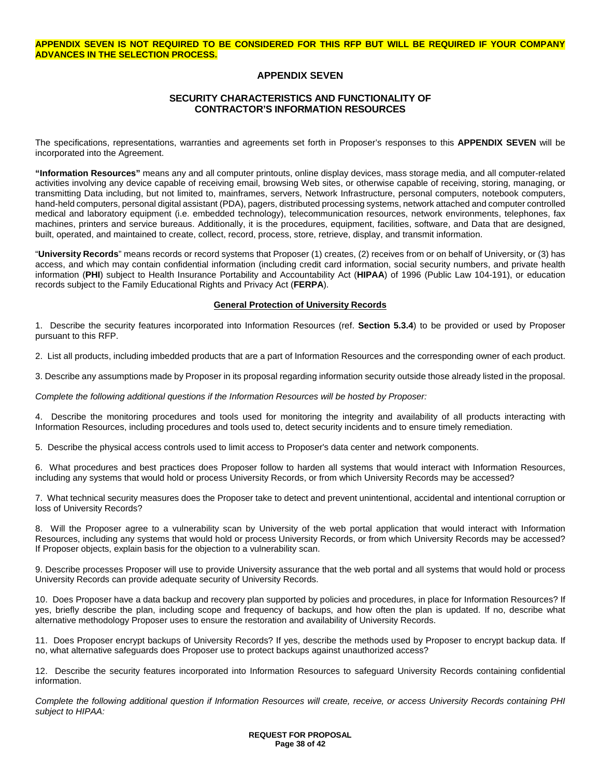#### **APPENDIX SEVEN IS NOT REQUIRED TO BE CONSIDERED FOR THIS RFP BUT WILL BE REQUIRED IF YOUR COMPANY ADVANCES IN THE SELECTION PROCESS.**

#### **APPENDIX SEVEN**

#### **SECURITY CHARACTERISTICS AND FUNCTIONALITY OF CONTRACTOR'S INFORMATION RESOURCES**

The specifications, representations, warranties and agreements set forth in Proposer's responses to this **APPENDIX SEVEN** will be incorporated into the Agreement.

**"Information Resources"** means any and all computer printouts, online display devices, mass storage media, and all computer-related activities involving any device capable of receiving email, browsing Web sites, or otherwise capable of receiving, storing, managing, or transmitting Data including, but not limited to, mainframes, servers, Network Infrastructure, personal computers, notebook computers, hand-held computers, personal digital assistant (PDA), pagers, distributed processing systems, network attached and computer controlled medical and laboratory equipment (i.e. embedded technology), telecommunication resources, network environments, telephones, fax machines, printers and service bureaus. Additionally, it is the procedures, equipment, facilities, software, and Data that are designed, built, operated, and maintained to create, collect, record, process, store, retrieve, display, and transmit information.

"**University Records**" means records or record systems that Proposer (1) creates, (2) receives from or on behalf of University, or (3) has access, and which may contain confidential information (including credit card information, social security numbers, and private health information (**PHI**) subject to Health Insurance Portability and Accountability Act (**HIPAA**) of 1996 (Public Law 104-191), or education records subject to the Family Educational Rights and Privacy Act (**FERPA**).

#### **General Protection of University Records**

1. Describe the security features incorporated into Information Resources (ref. **Section 5.3.4**) to be provided or used by Proposer pursuant to this RFP.

2. List all products, including imbedded products that are a part of Information Resources and the corresponding owner of each product.

3. Describe any assumptions made by Proposer in its proposal regarding information security outside those already listed in the proposal.

*Complete the following additional questions if the Information Resources will be hosted by Proposer:*

4. Describe the monitoring procedures and tools used for monitoring the integrity and availability of all products interacting with Information Resources, including procedures and tools used to, detect security incidents and to ensure timely remediation.

5. Describe the physical access controls used to limit access to Proposer's data center and network components.

6. What procedures and best practices does Proposer follow to harden all systems that would interact with Information Resources, including any systems that would hold or process University Records, or from which University Records may be accessed?

7. What technical security measures does the Proposer take to detect and prevent unintentional, accidental and intentional corruption or loss of University Records?

8. Will the Proposer agree to a vulnerability scan by University of the web portal application that would interact with Information Resources, including any systems that would hold or process University Records, or from which University Records may be accessed? If Proposer objects, explain basis for the objection to a vulnerability scan.

9. Describe processes Proposer will use to provide University assurance that the web portal and all systems that would hold or process University Records can provide adequate security of University Records.

10. Does Proposer have a data backup and recovery plan supported by policies and procedures, in place for Information Resources? If yes, briefly describe the plan, including scope and frequency of backups, and how often the plan is updated. If no, describe what alternative methodology Proposer uses to ensure the restoration and availability of University Records.

11. Does Proposer encrypt backups of University Records? If yes, describe the methods used by Proposer to encrypt backup data. If no, what alternative safeguards does Proposer use to protect backups against unauthorized access?

12. Describe the security features incorporated into Information Resources to safeguard University Records containing confidential information.

*Complete the following additional question if Information Resources will create, receive, or access University Records containing PHI subject to HIPAA:*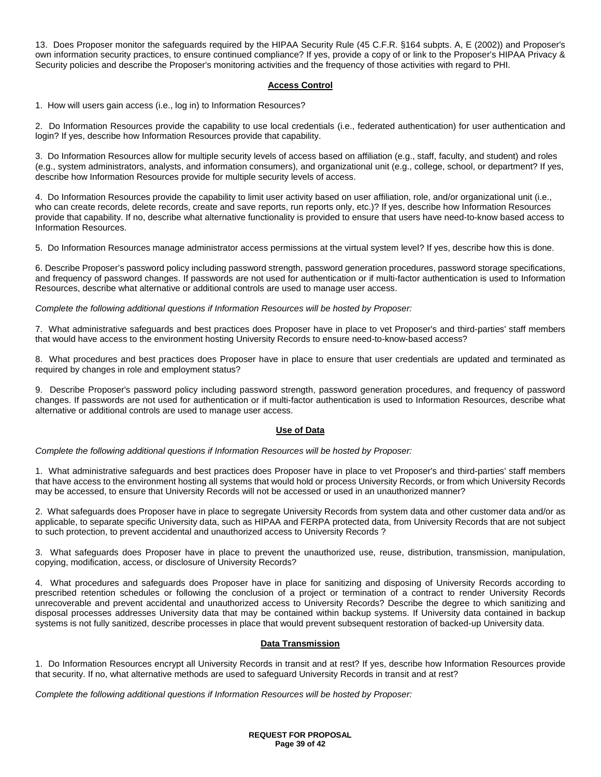13. Does Proposer monitor the safeguards required by the HIPAA Security Rule (45 C.F.R. §164 subpts. A, E (2002)) and Proposer's own information security practices, to ensure continued compliance? If yes, provide a copy of or link to the Proposer's HIPAA Privacy & Security policies and describe the Proposer's monitoring activities and the frequency of those activities with regard to PHI.

#### **Access Control**

1. How will users gain access (i.e., log in) to Information Resources?

2. Do Information Resources provide the capability to use local credentials (i.e., federated authentication) for user authentication and login? If yes, describe how Information Resources provide that capability.

3. Do Information Resources allow for multiple security levels of access based on affiliation (e.g., staff, faculty, and student) and roles (e.g., system administrators, analysts, and information consumers), and organizational unit (e.g., college, school, or department? If yes, describe how Information Resources provide for multiple security levels of access.

4. Do Information Resources provide the capability to limit user activity based on user affiliation, role, and/or organizational unit (i.e., who can create records, delete records, create and save reports, run reports only, etc.)? If yes, describe how Information Resources provide that capability. If no, describe what alternative functionality is provided to ensure that users have need-to-know based access to Information Resources.

5. Do Information Resources manage administrator access permissions at the virtual system level? If yes, describe how this is done.

6. Describe Proposer's password policy including password strength, password generation procedures, password storage specifications, and frequency of password changes. If passwords are not used for authentication or if multi-factor authentication is used to Information Resources, describe what alternative or additional controls are used to manage user access.

#### *Complete the following additional questions if Information Resources will be hosted by Proposer:*

7. What administrative safeguards and best practices does Proposer have in place to vet Proposer's and third-parties' staff members that would have access to the environment hosting University Records to ensure need-to-know-based access?

8. What procedures and best practices does Proposer have in place to ensure that user credentials are updated and terminated as required by changes in role and employment status?

9. Describe Proposer's password policy including password strength, password generation procedures, and frequency of password changes. If passwords are not used for authentication or if multi-factor authentication is used to Information Resources, describe what alternative or additional controls are used to manage user access.

#### **Use of Data**

*Complete the following additional questions if Information Resources will be hosted by Proposer:*

1. What administrative safeguards and best practices does Proposer have in place to vet Proposer's and third-parties' staff members that have access to the environment hosting all systems that would hold or process University Records, or from which University Records may be accessed, to ensure that University Records will not be accessed or used in an unauthorized manner?

2. What safeguards does Proposer have in place to segregate University Records from system data and other customer data and/or as applicable, to separate specific University data, such as HIPAA and FERPA protected data, from University Records that are not subject to such protection, to prevent accidental and unauthorized access to University Records ?

3. What safeguards does Proposer have in place to prevent the unauthorized use, reuse, distribution, transmission, manipulation, copying, modification, access, or disclosure of University Records?

4. What procedures and safeguards does Proposer have in place for sanitizing and disposing of University Records according to prescribed retention schedules or following the conclusion of a project or termination of a contract to render University Records unrecoverable and prevent accidental and unauthorized access to University Records? Describe the degree to which sanitizing and disposal processes addresses University data that may be contained within backup systems. If University data contained in backup systems is not fully sanitized, describe processes in place that would prevent subsequent restoration of backed-up University data.

#### **Data Transmission**

1. Do Information Resources encrypt all University Records in transit and at rest? If yes, describe how Information Resources provide that security. If no, what alternative methods are used to safeguard University Records in transit and at rest?

*Complete the following additional questions if Information Resources will be hosted by Proposer:*

#### **REQUEST FOR PROPOSAL Page 39 of 42**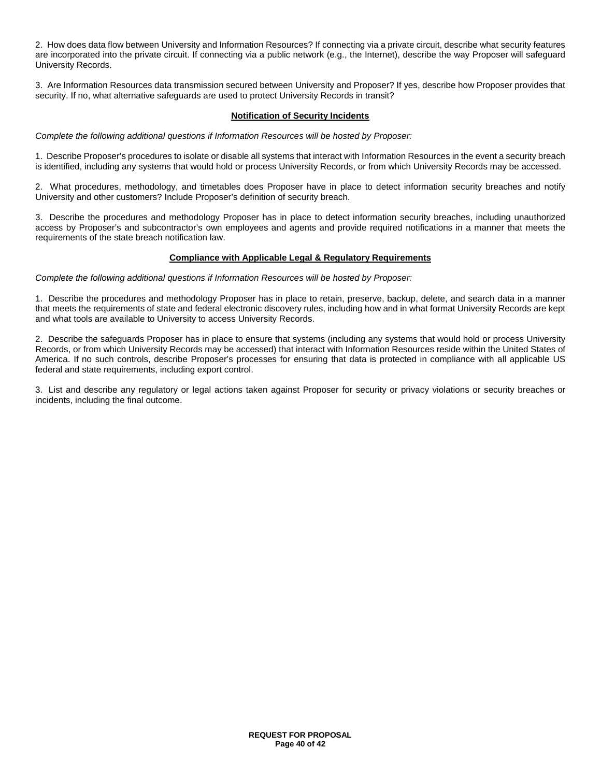2. How does data flow between University and Information Resources? If connecting via a private circuit, describe what security features are incorporated into the private circuit. If connecting via a public network (e.g., the Internet), describe the way Proposer will safeguard University Records.

3. Are Information Resources data transmission secured between University and Proposer? If yes, describe how Proposer provides that security. If no, what alternative safeguards are used to protect University Records in transit?

#### **Notification of Security Incidents**

*Complete the following additional questions if Information Resources will be hosted by Proposer:*

1. Describe Proposer's procedures to isolate or disable all systems that interact with Information Resources in the event a security breach is identified, including any systems that would hold or process University Records, or from which University Records may be accessed.

2. What procedures, methodology, and timetables does Proposer have in place to detect information security breaches and notify University and other customers? Include Proposer's definition of security breach.

3. Describe the procedures and methodology Proposer has in place to detect information security breaches, including unauthorized access by Proposer's and subcontractor's own employees and agents and provide required notifications in a manner that meets the requirements of the state breach notification law.

#### **Compliance with Applicable Legal & Regulatory Requirements**

*Complete the following additional questions if Information Resources will be hosted by Proposer:*

1. Describe the procedures and methodology Proposer has in place to retain, preserve, backup, delete, and search data in a manner that meets the requirements of state and federal electronic discovery rules, including how and in what format University Records are kept and what tools are available to University to access University Records.

2. Describe the safeguards Proposer has in place to ensure that systems (including any systems that would hold or process University Records, or from which University Records may be accessed) that interact with Information Resources reside within the United States of America. If no such controls, describe Proposer's processes for ensuring that data is protected in compliance with all applicable US federal and state requirements, including export control.

3. List and describe any regulatory or legal actions taken against Proposer for security or privacy violations or security breaches or incidents, including the final outcome.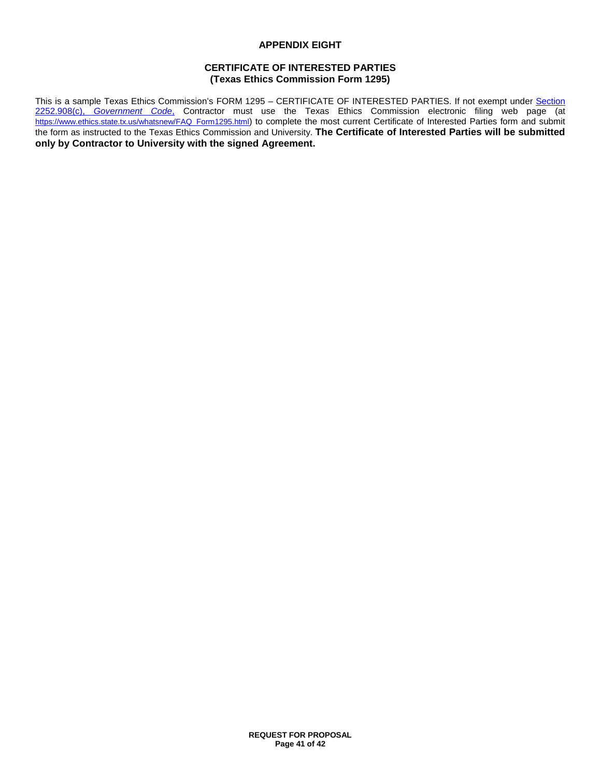#### **APPENDIX EIGHT**

#### **CERTIFICATE OF INTERESTED PARTIES (Texas Ethics Commission Form 1295)**

This is a sample Texas Ethics Commission's FORM 1295 – CERTIFICATE OF INTERESTED PARTIES. If not exempt under [Section](http://www.statutes.legis.state.tx.us/Docs/GV/htm/GV.2252.htm#2252.908)  2252.908(c), *[Government Code](http://www.statutes.legis.state.tx.us/Docs/GV/htm/GV.2252.htm#2252.908)*, Contractor must use the Texas Ethics Commission electronic filing web page (at [https://www.ethics.state.tx.us/whatsnew/FAQ\\_Form1295.html\)](https://www.ethics.state.tx.us/whatsnew/FAQ_Form1295.html) to complete the most current Certificate of Interested Parties form and submit the form as instructed to the Texas Ethics Commission and University. **The Certificate of Interested Parties will be submitted only by Contractor to University with the signed Agreement.**